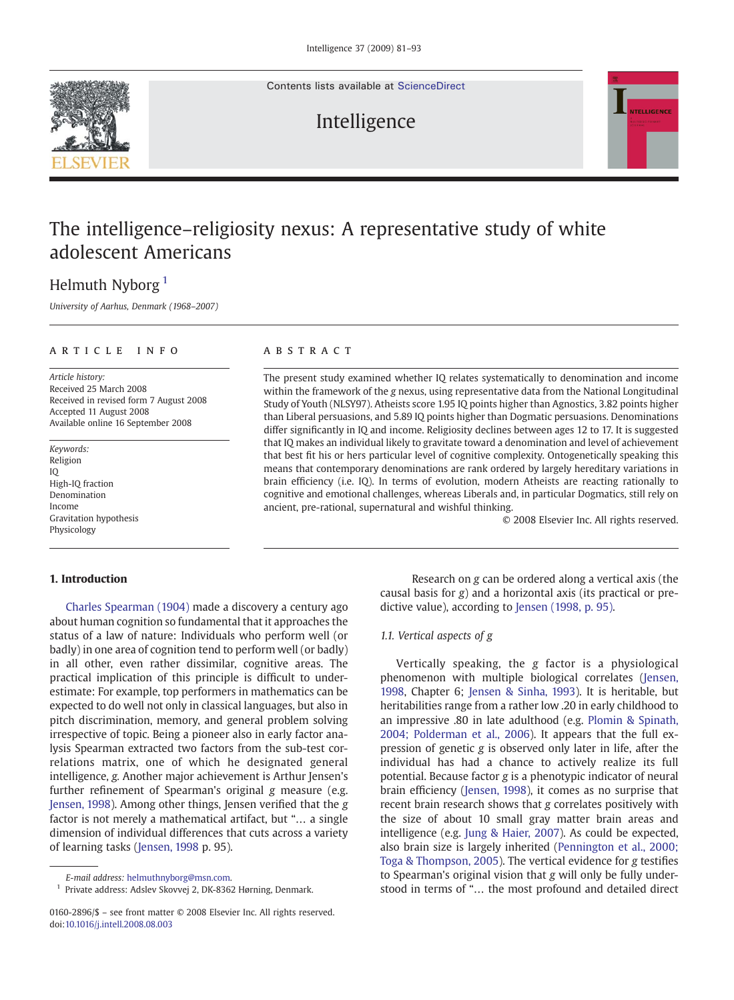Contents lists available at [ScienceDirect](http://www.sciencedirect.com/science/journal/01602896)

# Intelligence



# The intelligence–religiosity nexus: A representative study of white adolescent Americans

# Helmuth Nyborg<sup>1</sup>

University of Aarhus, Denmark (1968–2007)

# article info abstract

Article history: Received 25 March 2008 Received in revised form 7 August 2008 Accepted 11 August 2008 Available online 16 September 2008

Keywords: Religion IQ High-IQ fraction Denomination Income Gravitation hypothesis Physicology

The present study examined whether IQ relates systematically to denomination and income within the framework of the g nexus, using representative data from the National Longitudinal Study of Youth (NLSY97). Atheists score 1.95 IQ points higher than Agnostics, 3.82 points higher than Liberal persuasions, and 5.89 IQ points higher than Dogmatic persuasions. Denominations differ significantly in IQ and income. Religiosity declines between ages 12 to 17. It is suggested that IQ makes an individual likely to gravitate toward a denomination and level of achievement that best fit his or hers particular level of cognitive complexity. Ontogenetically speaking this means that contemporary denominations are rank ordered by largely hereditary variations in brain efficiency (i.e. IQ). In terms of evolution, modern Atheists are reacting rationally to cognitive and emotional challenges, whereas Liberals and, in particular Dogmatics, still rely on ancient, pre-rational, supernatural and wishful thinking.

© 2008 Elsevier Inc. All rights reserved.

# 1. Introduction

[Charles Spearman \(1904\)](#page-11-0) made a discovery a century ago about human cognition so fundamental that it approaches the status of a law of nature: Individuals who perform well (or badly) in one area of cognition tend to perform well (or badly) in all other, even rather dissimilar, cognitive areas. The practical implication of this principle is difficult to underestimate: For example, top performers in mathematics can be expected to do well not only in classical languages, but also in pitch discrimination, memory, and general problem solving irrespective of topic. Being a pioneer also in early factor analysis Spearman extracted two factors from the sub-test correlations matrix, one of which he designated general intelligence, g. Another major achievement is Arthur Jensen's further refinement of Spearman's original g measure (e.g. [Jensen, 1998](#page-11-0)). Among other things, Jensen verified that the g factor is not merely a mathematical artifact, but "… a single dimension of individual differences that cuts across a variety of learning tasks [\(Jensen, 1998](#page-11-0) p. 95).

Research on g can be ordered along a vertical axis (the causal basis for g) and a horizontal axis (its practical or predictive value), according to [Jensen \(1998, p. 95\)](#page-11-0).

# 1.1. Vertical aspects of g

Vertically speaking, the g factor is a physiological phenomenon with multiple biological correlates [\(Jensen,](#page-11-0) [1998,](#page-11-0) Chapter 6; [Jensen & Sinha, 1993\)](#page-11-0). It is heritable, but heritabilities range from a rather low .20 in early childhood to an impressive .80 in late adulthood (e.g. [Plomin & Spinath,](#page-11-0) [2004; Polderman et al., 2006\)](#page-11-0). It appears that the full expression of genetic g is observed only later in life, after the individual has had a chance to actively realize its full potential. Because factor g is a phenotypic indicator of neural brain efficiency ([Jensen, 1998](#page-11-0)), it comes as no surprise that recent brain research shows that g correlates positively with the size of about 10 small gray matter brain areas and intelligence (e.g. [Jung & Haier, 2007\)](#page-11-0). As could be expected, also brain size is largely inherited ([Pennington et al., 2000;](#page-11-0) [Toga & Thompson, 2005\)](#page-11-0). The vertical evidence for g testifies to Spearman's original vision that g will only be fully understood in terms of "… the most profound and detailed direct

E-mail address: [helmuthnyborg@msn.com.](mailto:helmuthnyborg@msn.com)

<sup>&</sup>lt;sup>1</sup> Private address: Adslev Skovvej 2, DK-8362 Hørning, Denmark.

<sup>0160-2896/\$</sup> – see front matter © 2008 Elsevier Inc. All rights reserved. doi[:10.1016/j.intell.2008.08.003](http://dx.doi.org/10.1016/j.intell.2008.08.003)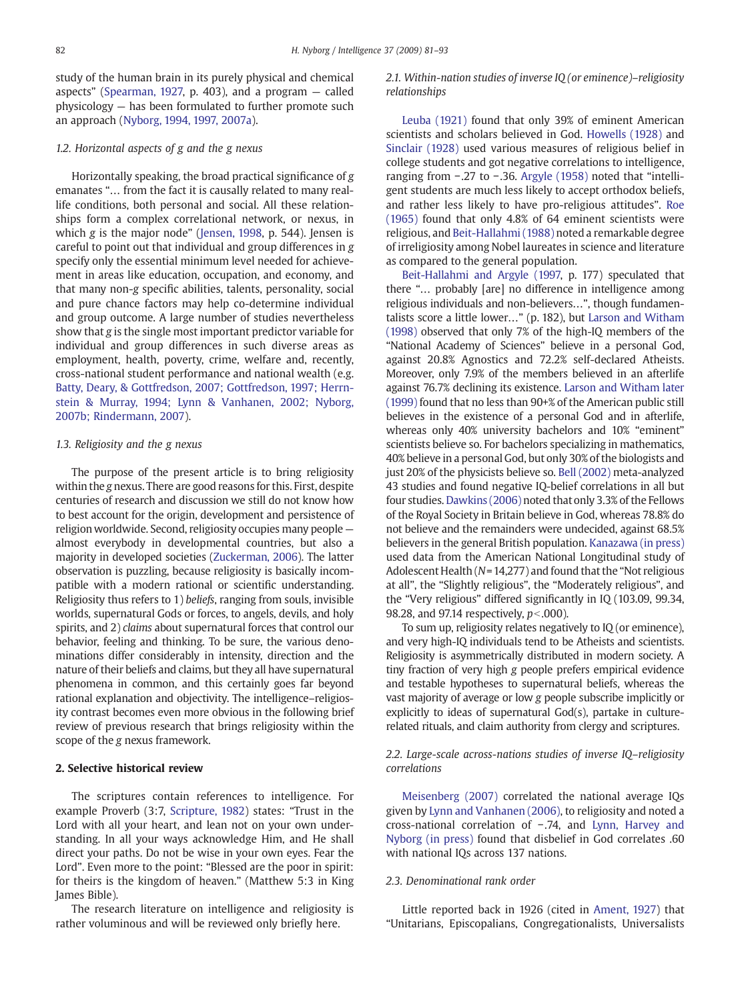study of the human brain in its purely physical and chemical aspects" [\(Spearman, 1927,](#page-11-0) p. 403), and a program  $-$  called physicology — has been formulated to further promote such an approach [\(Nyborg, 1994, 1997, 2007a\)](#page-11-0).

# 1.2. Horizontal aspects of g and the g nexus

Horizontally speaking, the broad practical significance of g emanates "… from the fact it is causally related to many reallife conditions, both personal and social. All these relationships form a complex correlational network, or nexus, in which g is the major node" ([Jensen, 1998](#page-11-0), p. 544). Jensen is careful to point out that individual and group differences in g specify only the essential minimum level needed for achievement in areas like education, occupation, and economy, and that many non-g specific abilities, talents, personality, social and pure chance factors may help co-determine individual and group outcome. A large number of studies nevertheless show that g is the single most important predictor variable for individual and group differences in such diverse areas as employment, health, poverty, crime, welfare and, recently, cross-national student performance and national wealth (e.g. [Batty, Deary, & Gottfredson, 2007; Gottfredson, 1997; Herrn](#page-10-0)[stein & Murray, 1994; Lynn & Vanhanen, 2002; Nyborg,](#page-10-0) [2007b; Rindermann, 2007\)](#page-10-0).

# 1.3. Religiosity and the g nexus

The purpose of the present article is to bring religiosity within the g nexus. There are good reasons for this. First, despite centuries of research and discussion we still do not know how to best account for the origin, development and persistence of religion worldwide. Second, religiosity occupies many people almost everybody in developmental countries, but also a majority in developed societies [\(Zuckerman, 2006\)](#page-12-0). The latter observation is puzzling, because religiosity is basically incompatible with a modern rational or scientific understanding. Religiosity thus refers to 1) *beliefs*, ranging from souls, invisible worlds, supernatural Gods or forces, to angels, devils, and holy spirits, and 2) claims about supernatural forces that control our behavior, feeling and thinking. To be sure, the various denominations differ considerably in intensity, direction and the nature of their beliefs and claims, but they all have supernatural phenomena in common, and this certainly goes far beyond rational explanation and objectivity. The intelligence–religiosity contrast becomes even more obvious in the following brief review of previous research that brings religiosity within the scope of the g nexus framework.

# 2. Selective historical review

The scriptures contain references to intelligence. For example Proverb (3:7, [Scripture, 1982\)](#page-11-0) states: "Trust in the Lord with all your heart, and lean not on your own understanding. In all your ways acknowledge Him, and He shall direct your paths. Do not be wise in your own eyes. Fear the Lord". Even more to the point: "Blessed are the poor in spirit: for theirs is the kingdom of heaven." (Matthew 5:3 in King James Bible).

The research literature on intelligence and religiosity is rather voluminous and will be reviewed only briefly here.

# 2.1. Within-nation studies of inverse IQ (or eminence)–religiosity relationships

[Leuba \(1921\)](#page-11-0) found that only 39% of eminent American scientists and scholars believed in God. [Howells \(1928\)](#page-11-0) and [Sinclair \(1928\)](#page-11-0) used various measures of religious belief in college students and got negative correlations to intelligence, ranging from −.27 to −.36. [Argyle \(1958\)](#page-10-0) noted that "intelligent students are much less likely to accept orthodox beliefs, and rather less likely to have pro-religious attitudes". [Roe](#page-11-0) [\(1965\)](#page-11-0) found that only 4.8% of 64 eminent scientists were religious, and [Beit-Hallahmi \(1988\)](#page-10-0) noted a remarkable degree of irreligiosity among Nobel laureates in science and literature as compared to the general population.

[Beit-Hallahmi and Argyle \(1997,](#page-10-0) p. 177) speculated that there "… probably [are] no difference in intelligence among religious individuals and non-believers…", though fundamentalists score a little lower…" (p. 182), but [Larson and Witham](#page-11-0) [\(1998\)](#page-11-0) observed that only 7% of the high-IQ members of the "National Academy of Sciences" believe in a personal God, against 20.8% Agnostics and 72.2% self-declared Atheists. Moreover, only 7.9% of the members believed in an afterlife against 76.7% declining its existence. [Larson and Witham later](#page-11-0) [\(1999\)](#page-11-0) found that no less than 90+% of the American public still believes in the existence of a personal God and in afterlife, whereas only 40% university bachelors and 10% "eminent" scientists believe so. For bachelors specializing in mathematics, 40% believe in a personal God, but only 30% of the biologists and just 20% of the physicists believe so. [Bell \(2002\)](#page-10-0) meta-analyzed 43 studies and found negative IQ-belief correlations in all but four studies. [Dawkins \(2006\)](#page-11-0) noted that only 3.3% of the Fellows of the Royal Society in Britain believe in God, whereas 78.8% do not believe and the remainders were undecided, against 68.5% believers in the general British population. [Kanazawa \(in press\)](#page-11-0) used data from the American National Longitudinal study of Adolescent Health  $(N=14,277)$  and found that the "Not religious at all", the "Slightly religious", the "Moderately religious", and the "Very religious" differed significantly in IQ (103.09, 99.34, 98.28, and 97.14 respectively,  $p<.000$ ).

To sum up, religiosity relates negatively to IQ (or eminence), and very high-IQ individuals tend to be Atheists and scientists. Religiosity is asymmetrically distributed in modern society. A tiny fraction of very high g people prefers empirical evidence and testable hypotheses to supernatural beliefs, whereas the vast majority of average or low g people subscribe implicitly or explicitly to ideas of supernatural God(s), partake in culturerelated rituals, and claim authority from clergy and scriptures.

# 2.2. Large-scale across-nations studies of inverse IQ–religiosity correlations

[Meisenberg \(2007\)](#page-11-0) correlated the national average IQs given by [Lynn and Vanhanen \(2006\)](#page-11-0), to religiosity and noted a cross-national correlation of −.74, and [Lynn, Harvey and](#page-11-0) [Nyborg \(in press\)](#page-11-0) found that disbelief in God correlates .60 with national IQs across 137 nations.

# 2.3. Denominational rank order

Little reported back in 1926 (cited in [Ament, 1927\)](#page-10-0) that "Unitarians, Episcopalians, Congregationalists, Universalists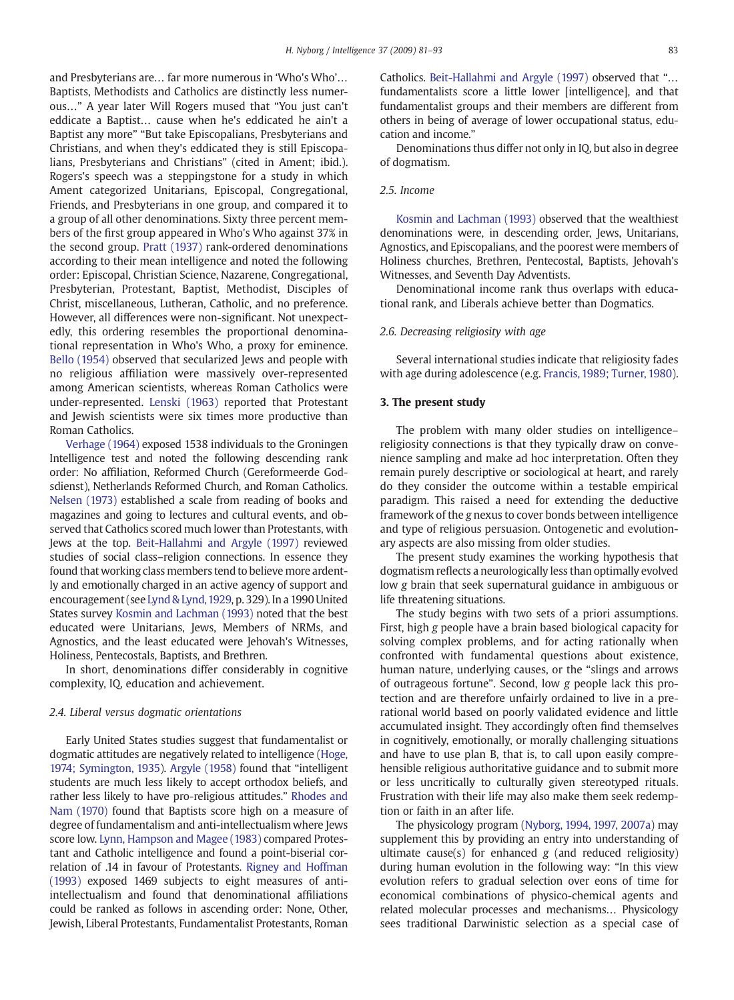and Presbyterians are… far more numerous in 'Who's Who'… Baptists, Methodists and Catholics are distinctly less numerous…" A year later Will Rogers mused that "You just can't eddicate a Baptist… cause when he's eddicated he ain't a Baptist any more" "But take Episcopalians, Presbyterians and Christians, and when they's eddicated they is still Episcopalians, Presbyterians and Christians" (cited in Ament; ibid.). Rogers's speech was a steppingstone for a study in which Ament categorized Unitarians, Episcopal, Congregational, Friends, and Presbyterians in one group, and compared it to a group of all other denominations. Sixty three percent members of the first group appeared in Who's Who against 37% in the second group. [Pratt \(1937\)](#page-11-0) rank-ordered denominations according to their mean intelligence and noted the following order: Episcopal, Christian Science, Nazarene, Congregational, Presbyterian, Protestant, Baptist, Methodist, Disciples of Christ, miscellaneous, Lutheran, Catholic, and no preference. However, all differences were non-significant. Not unexpectedly, this ordering resembles the proportional denominational representation in Who's Who, a proxy for eminence. [Bello \(1954\)](#page-11-0) observed that secularized Jews and people with no religious affiliation were massively over-represented among American scientists, whereas Roman Catholics were under-represented. [Lenski \(1963\)](#page-11-0) reported that Protestant and Jewish scientists were six times more productive than Roman Catholics.

[Verhage \(1964\)](#page-12-0) exposed 1538 individuals to the Groningen Intelligence test and noted the following descending rank order: No affiliation, Reformed Church (Gereformeerde Godsdienst), Netherlands Reformed Church, and Roman Catholics. [Nelsen \(1973\)](#page-11-0) established a scale from reading of books and magazines and going to lectures and cultural events, and observed that Catholics scored much lower than Protestants, with Jews at the top. [Beit-Hallahmi and Argyle \(1997\)](#page-10-0) reviewed studies of social class–religion connections. In essence they found that working class members tend to believe more ardently and emotionally charged in an active agency of support and encouragement (see [Lynd & Lynd,1929,](#page-11-0) p. 329). In a 1990 United States survey [Kosmin and Lachman \(1993\)](#page-11-0) noted that the best educated were Unitarians, Jews, Members of NRMs, and Agnostics, and the least educated were Jehovah's Witnesses, Holiness, Pentecostals, Baptists, and Brethren.

In short, denominations differ considerably in cognitive complexity, IQ, education and achievement.

# 2.4. Liberal versus dogmatic orientations

Early United States studies suggest that fundamentalist or dogmatic attitudes are negatively related to intelligence ([Hoge,](#page-11-0) [1974; Symington, 1935\)](#page-11-0). [Argyle \(1958\)](#page-10-0) found that "intelligent students are much less likely to accept orthodox beliefs, and rather less likely to have pro-religious attitudes." [Rhodes and](#page-11-0) [Nam \(1970\)](#page-11-0) found that Baptists score high on a measure of degree of fundamentalism and anti-intellectualism where Jews score low. [Lynn, Hampson and Magee \(1983\)](#page-11-0) compared Protestant and Catholic intelligence and found a point-biserial correlation of .14 in favour of Protestants. [Rigney and Hoffman](#page-11-0) [\(1993\)](#page-11-0) exposed 1469 subjects to eight measures of antiintellectualism and found that denominational affiliations could be ranked as follows in ascending order: None, Other, Jewish, Liberal Protestants, Fundamentalist Protestants, Roman Catholics. [Beit-Hallahmi and Argyle \(1997\)](#page-10-0) observed that "… fundamentalists score a little lower [intelligence], and that fundamentalist groups and their members are different from others in being of average of lower occupational status, education and income."

Denominations thus differ not only in IQ, but also in degree of dogmatism.

# 2.5. Income

[Kosmin and Lachman \(1993\)](#page-11-0) observed that the wealthiest denominations were, in descending order, Jews, Unitarians, Agnostics, and Episcopalians, and the poorest were members of Holiness churches, Brethren, Pentecostal, Baptists, Jehovah's Witnesses, and Seventh Day Adventists.

Denominational income rank thus overlaps with educational rank, and Liberals achieve better than Dogmatics.

# 2.6. Decreasing religiosity with age

Several international studies indicate that religiosity fades with age during adolescence (e.g. [Francis, 1989; Turner, 1980](#page-11-0)).

# 3. The present study

The problem with many older studies on intelligence– religiosity connections is that they typically draw on convenience sampling and make ad hoc interpretation. Often they remain purely descriptive or sociological at heart, and rarely do they consider the outcome within a testable empirical paradigm. This raised a need for extending the deductive framework of the g nexus to cover bonds between intelligence and type of religious persuasion. Ontogenetic and evolutionary aspects are also missing from older studies.

The present study examines the working hypothesis that dogmatism reflects a neurologically less than optimally evolved low g brain that seek supernatural guidance in ambiguous or life threatening situations.

The study begins with two sets of a priori assumptions. First, high g people have a brain based biological capacity for solving complex problems, and for acting rationally when confronted with fundamental questions about existence, human nature, underlying causes, or the "slings and arrows of outrageous fortune". Second, low g people lack this protection and are therefore unfairly ordained to live in a prerational world based on poorly validated evidence and little accumulated insight. They accordingly often find themselves in cognitively, emotionally, or morally challenging situations and have to use plan B, that is, to call upon easily comprehensible religious authoritative guidance and to submit more or less uncritically to culturally given stereotyped rituals. Frustration with their life may also make them seek redemption or faith in an after life.

The physicology program [\(Nyborg, 1994, 1997, 2007a\)](#page-11-0) may supplement this by providing an entry into understanding of ultimate cause(s) for enhanced g (and reduced religiosity) during human evolution in the following way: "In this view evolution refers to gradual selection over eons of time for economical combinations of physico-chemical agents and related molecular processes and mechanisms… Physicology sees traditional Darwinistic selection as a special case of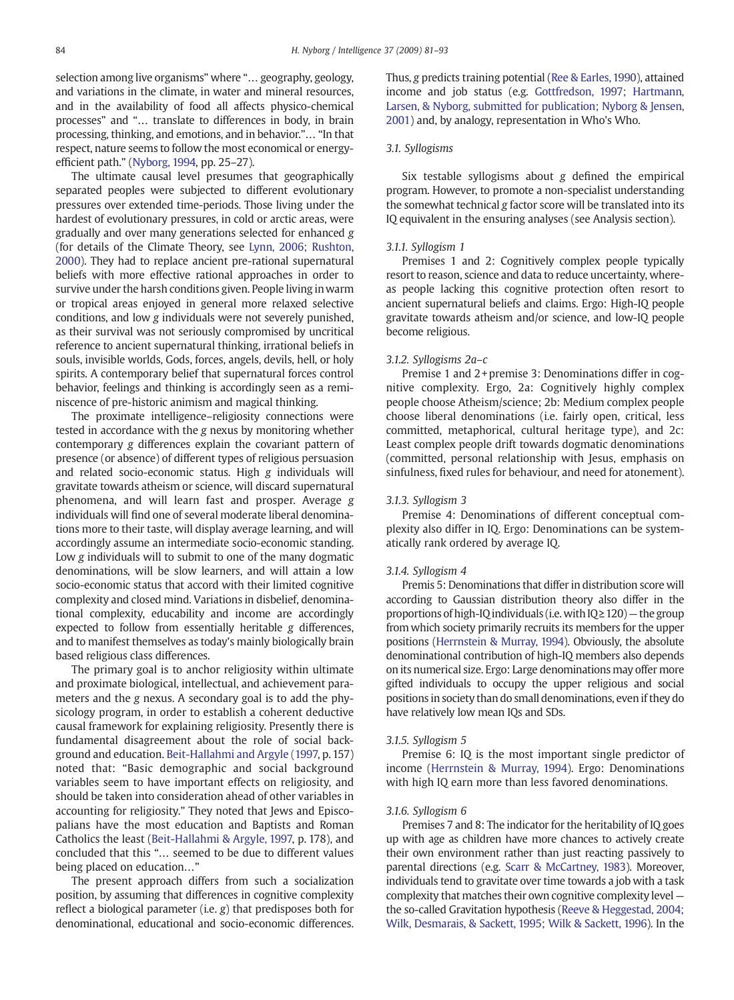selection among live organisms" where "… geography, geology, and variations in the climate, in water and mineral resources, and in the availability of food all affects physico-chemical processes" and "… translate to differences in body, in brain processing, thinking, and emotions, and in behavior."… "In that respect, nature seems to follow the most economical or energyefficient path." [\(Nyborg, 1994](#page-11-0), pp. 25–27).

The ultimate causal level presumes that geographically separated peoples were subjected to different evolutionary pressures over extended time-periods. Those living under the hardest of evolutionary pressures, in cold or arctic areas, were gradually and over many generations selected for enhanced g (for details of the Climate Theory, see [Lynn, 2006; Rushton,](#page-11-0) [2000\)](#page-11-0). They had to replace ancient pre-rational supernatural beliefs with more effective rational approaches in order to survive under the harsh conditions given. People living inwarm or tropical areas enjoyed in general more relaxed selective conditions, and low g individuals were not severely punished, as their survival was not seriously compromised by uncritical reference to ancient supernatural thinking, irrational beliefs in souls, invisible worlds, Gods, forces, angels, devils, hell, or holy spirits. A contemporary belief that supernatural forces control behavior, feelings and thinking is accordingly seen as a reminiscence of pre-historic animism and magical thinking.

The proximate intelligence–religiosity connections were tested in accordance with the g nexus by monitoring whether contemporary g differences explain the covariant pattern of presence (or absence) of different types of religious persuasion and related socio-economic status. High g individuals will gravitate towards atheism or science, will discard supernatural phenomena, and will learn fast and prosper. Average g individuals will find one of several moderate liberal denominations more to their taste, will display average learning, and will accordingly assume an intermediate socio-economic standing. Low g individuals will to submit to one of the many dogmatic denominations, will be slow learners, and will attain a low socio-economic status that accord with their limited cognitive complexity and closed mind. Variations in disbelief, denominational complexity, educability and income are accordingly expected to follow from essentially heritable g differences, and to manifest themselves as today's mainly biologically brain based religious class differences.

The primary goal is to anchor religiosity within ultimate and proximate biological, intellectual, and achievement parameters and the g nexus. A secondary goal is to add the physicology program, in order to establish a coherent deductive causal framework for explaining religiosity. Presently there is fundamental disagreement about the role of social background and education. [Beit-Hallahmi and Argyle \(1997,](#page-10-0) p. 157) noted that: "Basic demographic and social background variables seem to have important effects on religiosity, and should be taken into consideration ahead of other variables in accounting for religiosity." They noted that Jews and Episcopalians have the most education and Baptists and Roman Catholics the least [\(Beit-Hallahmi & Argyle, 1997,](#page-10-0) p. 178), and concluded that this "… seemed to be due to different values being placed on education…"

The present approach differs from such a socialization position, by assuming that differences in cognitive complexity reflect a biological parameter (i.e.  $g$ ) that predisposes both for denominational, educational and socio-economic differences.

Thus, g predicts training potential ([Ree & Earles, 1990\)](#page-11-0), attained income and job status (e.g. [Gottfredson, 1997; Hartmann,](#page-11-0) [Larsen, & Nyborg, submitted for publication; Nyborg & Jensen,](#page-11-0) [2001](#page-11-0)) and, by analogy, representation in Who's Who.

# 3.1. Syllogisms

Six testable syllogisms about g defined the empirical program. However, to promote a non-specialist understanding the somewhat technical g factor score will be translated into its IQ equivalent in the ensuring analyses (see Analysis section).

# 3.1.1. Syllogism 1

Premises 1 and 2: Cognitively complex people typically resort to reason, science and data to reduce uncertainty, whereas people lacking this cognitive protection often resort to ancient supernatural beliefs and claims. Ergo: High-IQ people gravitate towards atheism and/or science, and low-IQ people become religious.

# 3.1.2. Syllogisms 2a–c

Premise 1 and 2 + premise 3: Denominations differ in cognitive complexity. Ergo, 2a: Cognitively highly complex people choose Atheism/science; 2b: Medium complex people choose liberal denominations (i.e. fairly open, critical, less committed, metaphorical, cultural heritage type), and 2c: Least complex people drift towards dogmatic denominations (committed, personal relationship with Jesus, emphasis on sinfulness, fixed rules for behaviour, and need for atonement).

# 3.1.3. Syllogism 3

Premise 4: Denominations of different conceptual complexity also differ in IQ. Ergo: Denominations can be systematically rank ordered by average IQ.

# 3.1.4. Syllogism 4

Premis 5: Denominations that differ in distribution score will according to Gaussian distribution theory also differ in the proportions of high-IQ individuals (i.e. with IQ≥120) — the group from which society primarily recruits its members for the upper positions [\(Herrnstein & Murray, 1994](#page-11-0)). Obviously, the absolute denominational contribution of high-IQ members also depends on its numerical size. Ergo: Large denominations may offer more gifted individuals to occupy the upper religious and social positions in society than do small denominations, even if they do have relatively low mean IQs and SDs.

# 3.1.5. Syllogism 5

Premise 6: IQ is the most important single predictor of income ([Herrnstein & Murray, 1994\)](#page-11-0). Ergo: Denominations with high IQ earn more than less favored denominations.

# 3.1.6. Syllogism 6

Premises 7 and 8: The indicator for the heritability of IQ goes up with age as children have more chances to actively create their own environment rather than just reacting passively to parental directions (e.g. [Scarr & McCartney, 1983](#page-11-0)). Moreover, individuals tend to gravitate over time towards a job with a task complexity that matches their own cognitive complexity level the so-called Gravitation hypothesis ([Reeve & Heggestad, 2004;](#page-11-0) [Wilk, Desmarais, & Sackett, 1995; Wilk & Sackett, 1996\)](#page-11-0). In the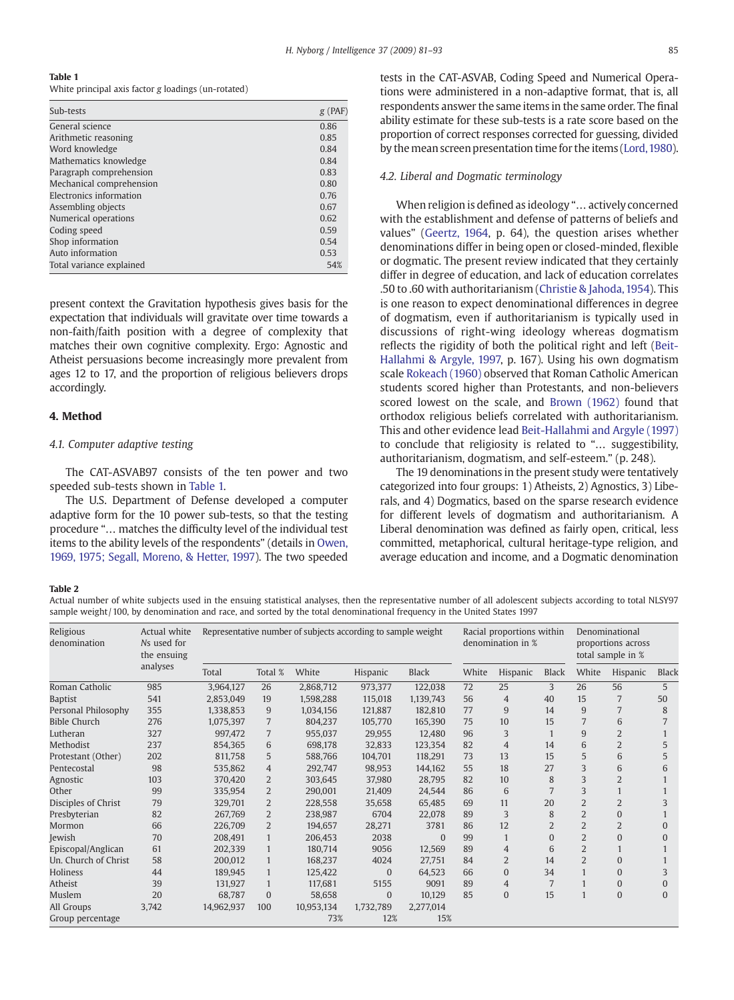<span id="page-4-0"></span>Table 1

White principal axis factor g loadings (un-rotated)

| Sub-tests                | $g$ (PAF) |
|--------------------------|-----------|
| General science          | 0.86      |
| Arithmetic reasoning     | 0.85      |
| Word knowledge           | 0.84      |
| Mathematics knowledge    | 0.84      |
| Paragraph comprehension  | 0.83      |
| Mechanical comprehension | 0.80      |
| Electronics information  | 0.76      |
| Assembling objects       | 0.67      |
| Numerical operations     | 0.62      |
| Coding speed             | 0.59      |
| Shop information         | 0.54      |
| Auto information         | 0.53      |
| Total variance explained | 54%       |
|                          |           |

present context the Gravitation hypothesis gives basis for the expectation that individuals will gravitate over time towards a non-faith/faith position with a degree of complexity that matches their own cognitive complexity. Ergo: Agnostic and Atheist persuasions become increasingly more prevalent from ages 12 to 17, and the proportion of religious believers drops accordingly.

# 4. Method

# 4.1. Computer adaptive testing

The CAT-ASVAB97 consists of the ten power and two speeded sub-tests shown in Table 1.

The U.S. Department of Defense developed a computer adaptive form for the 10 power sub-tests, so that the testing procedure "… matches the difficulty level of the individual test items to the ability levels of the respondents" (details in [Owen,](#page-11-0) [1969, 1975; Segall, Moreno, & Hetter, 1997](#page-11-0)). The two speeded

tests in the CAT-ASVAB, Coding Speed and Numerical Operations were administered in a non-adaptive format, that is, all respondents answer the same items in the same order. The final ability estimate for these sub-tests is a rate score based on the proportion of correct responses corrected for guessing, divided by the mean screen presentation time for the items ([Lord,1980\)](#page-11-0).

# 4.2. Liberal and Dogmatic terminology

When religion is defined as ideology "…actively concerned with the establishment and defense of patterns of beliefs and values" [\(Geertz, 1964](#page-11-0), p. 64), the question arises whether denominations differ in being open or closed-minded, flexible or dogmatic. The present review indicated that they certainly differ in degree of education, and lack of education correlates .50 to .60 with authoritarianism ([Christie & Jahoda, 1954\)](#page-11-0). This is one reason to expect denominational differences in degree of dogmatism, even if authoritarianism is typically used in discussions of right-wing ideology whereas dogmatism reflects the rigidity of both the political right and left ([Beit-](#page-10-0)[Hallahmi & Argyle, 1997,](#page-10-0) p. 167). Using his own dogmatism scale [Rokeach \(1960\)](#page-11-0) observed that Roman Catholic American students scored higher than Protestants, and non-believers scored lowest on the scale, and [Brown \(1962\)](#page-11-0) found that orthodox religious beliefs correlated with authoritarianism. This and other evidence lead [Beit-Hallahmi and Argyle \(1997\)](#page-10-0) to conclude that religiosity is related to "… suggestibility, authoritarianism, dogmatism, and self-esteem." (p. 248).

The 19 denominations in the present study were tentatively categorized into four groups: 1) Atheists, 2) Agnostics, 3) Liberals, and 4) Dogmatics, based on the sparse research evidence for different levels of dogmatism and authoritarianism. A Liberal denomination was defined as fairly open, critical, less committed, metaphorical, cultural heritage-type religion, and average education and income, and a Dogmatic denomination

#### Table 2

Actual number of white subjects used in the ensuing statistical analyses, then the representative number of all adolescent subjects according to total NLSY97 sample weight/100, by denomination and race, and sorted by the total denominational frequency in the United States 1997

| Religious<br>denomination | Actual white<br>Ns used for<br>the ensuing | Representative number of subjects according to sample weight |                |            |                |              |       | Racial proportions within<br>denomination in % |                | Denominational<br>proportions across<br>total sample in % |                |                |
|---------------------------|--------------------------------------------|--------------------------------------------------------------|----------------|------------|----------------|--------------|-------|------------------------------------------------|----------------|-----------------------------------------------------------|----------------|----------------|
|                           | analyses                                   | Total                                                        | Total %        | White      | Hispanic       | <b>Black</b> | White | Hispanic                                       | <b>Black</b>   | White                                                     | Hispanic       | <b>Black</b>   |
| Roman Catholic            | 985                                        | 3,964,127                                                    | 26             | 2,868,712  | 973,377        | 122,038      | 72    | 25                                             | 3              | 26                                                        | 56             | 5              |
| <b>Baptist</b>            | 541                                        | 2.853.049                                                    | 19             | 1.598.288  | 115,018        | 1,139,743    | 56    | $\overline{4}$                                 | 40             | 15                                                        |                | 50             |
| Personal Philosophy       | 355                                        | 1,338,853                                                    | 9              | 1,034,156  | 121,887        | 182.810      | 77    | 9                                              | 14             | 9                                                         | 7              | 8              |
| <b>Bible Church</b>       | 276                                        | 1,075,397                                                    | 7              | 804,237    | 105,770        | 165,390      | 75    | 10                                             | 15             | 7                                                         | 6              |                |
| Lutheran                  | 327                                        | 997.472                                                      | $\overline{7}$ | 955,037    | 29,955         | 12,480       | 96    | 3                                              |                | 9                                                         | $\overline{2}$ |                |
| Methodist                 | 237                                        | 854,365                                                      | 6              | 698,178    | 32,833         | 123,354      | 82    | $\overline{4}$                                 | 14             | 6                                                         | $\overline{2}$ | 5              |
| Protestant (Other)        | 202                                        | 811.758                                                      | 5              | 588,766    | 104,701        | 118.291      | 73    | 13                                             | 15             | 5                                                         | 6              | 5              |
| Pentecostal               | 98                                         | 535.862                                                      | $\overline{4}$ | 292,747    | 98,953         | 144,162      | 55    | 18                                             | 27             | 3                                                         | 6              | 6              |
| Agnostic                  | 103                                        | 370,420                                                      | $\overline{2}$ | 303,645    | 37,980         | 28,795       | 82    | 10                                             | 8              | 3                                                         | $\overline{2}$ |                |
| Other                     | 99                                         | 335,954                                                      | $\overline{2}$ | 290,001    | 21,409         | 24,544       | 86    | 6                                              | 7              | 3                                                         |                |                |
| Disciples of Christ       | 79                                         | 329.701                                                      | $\overline{2}$ | 228,558    | 35,658         | 65.485       | 69    | 11                                             | 20             | $\overline{2}$                                            | $\overline{2}$ |                |
| Presbyterian              | 82                                         | 267,769                                                      | $\overline{2}$ | 238,987    | 6704           | 22,078       | 89    | 3                                              | 8              | $\overline{2}$                                            | $\Omega$       |                |
| Mormon                    | 66                                         | 226,709                                                      | $\overline{2}$ | 194,657    | 28,271         | 3781         | 86    | 12                                             | $\overline{2}$ | $\overline{2}$                                            | $\overline{2}$ | $\Omega$       |
| Jewish                    | 70                                         | 208,491                                                      | $\mathbf{1}$   | 206,453    | 2038           | $\Omega$     | 99    | $\mathbf{1}$                                   | $\Omega$       | $\overline{2}$                                            | $\overline{0}$ | $\Omega$       |
| Episcopal/Anglican        | 61                                         | 202,339                                                      | $\mathbf{1}$   | 180,714    | 9056           | 12,569       | 89    | $\overline{4}$                                 | 6              | $\overline{2}$                                            |                |                |
| Un. Church of Christ      | 58                                         | 200,012                                                      | $\mathbf{1}$   | 168,237    | 4024           | 27,751       | 84    | $\overline{2}$                                 | 14             | $\overline{2}$                                            | $\Omega$       |                |
| <b>Holiness</b>           | 44                                         | 189,945                                                      | $\mathbf{1}$   | 125,422    | $\Omega$       | 64.523       | 66    | $\mathbf{0}$                                   | 34             |                                                           | $\Omega$       | 3              |
| Atheist                   | 39                                         | 131,927                                                      | $\mathbf{1}$   | 117,681    | 5155           | 9091         | 89    | $\overline{4}$                                 |                |                                                           | $\mathbf{0}$   | $\overline{0}$ |
| Muslem                    | 20                                         | 68,787                                                       | $\overline{0}$ | 58,658     | $\overline{0}$ | 10,129       | 85    | $\mathbf{0}$                                   | 15             | $\mathbf{1}$                                              | $\Omega$       | $\overline{0}$ |
| All Groups                | 3.742                                      | 14.962.937                                                   | 100            | 10,953,134 | 1,732,789      | 2,277,014    |       |                                                |                |                                                           |                |                |
| Group percentage          |                                            |                                                              |                | 73%        | 12%            | 15%          |       |                                                |                |                                                           |                |                |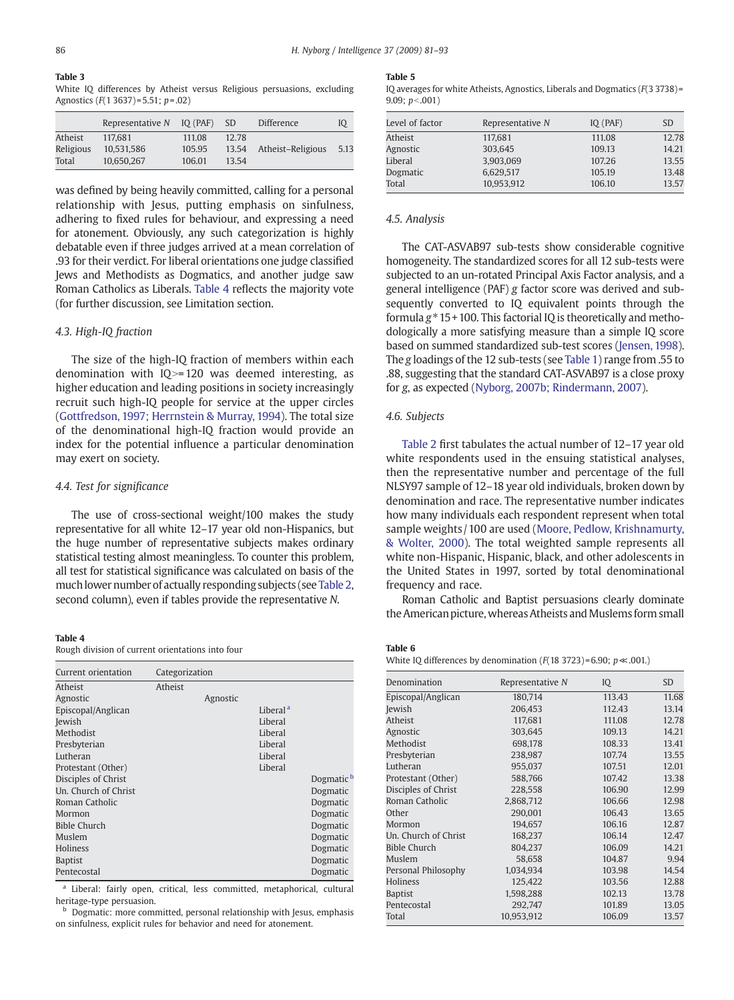<span id="page-5-0"></span>Table 3

White IQ differences by Atheist versus Religious persuasions, excluding Agnostics (F(1 3637) = 5.51; p= .02)

|           | Representative N | IO (PAF) | SD.   | Difference        | IO   |
|-----------|------------------|----------|-------|-------------------|------|
| Atheist   | 117.681          | 111.08   | 12.78 |                   |      |
| Religious | 10.531.586       | 105.95   | 13.54 | Atheist-Religious | 5.13 |
| Total     | 10.650.267       | 106.01   | 13.54 |                   |      |

was defined by being heavily committed, calling for a personal relationship with Jesus, putting emphasis on sinfulness, adhering to fixed rules for behaviour, and expressing a need for atonement. Obviously, any such categorization is highly debatable even if three judges arrived at a mean correlation of .93 for their verdict. For liberal orientations one judge classified Jews and Methodists as Dogmatics, and another judge saw Roman Catholics as Liberals. Table 4 reflects the majority vote (for further discussion, see Limitation section.

# 4.3. High-IQ fraction

The size of the high-IQ fraction of members within each denomination with  $IQ>= 120$  was deemed interesting, as higher education and leading positions in society increasingly recruit such high-IQ people for service at the upper circles [\(Gottfredson, 1997; Herrnstein & Murray, 1994](#page-11-0)). The total size of the denominational high-IQ fraction would provide an index for the potential influence a particular denomination may exert on society.

# 4.4. Test for significance

The use of cross-sectional weight/100 makes the study representative for all white 12–17 year old non-Hispanics, but the huge number of representative subjects makes ordinary statistical testing almost meaningless. To counter this problem, all test for statistical significance was calculated on basis of the much lower number of actually responding subjects (see [Table 2,](#page-4-0) second column), even if tables provide the representative N.

### Table 4

Rough division of current orientations into four

| Current orientation  | Categorization |          |                      |                       |
|----------------------|----------------|----------|----------------------|-----------------------|
| Atheist              | Atheist        |          |                      |                       |
| Agnostic             |                | Agnostic |                      |                       |
| Episcopal/Anglican   |                |          | Liberal <sup>a</sup> |                       |
| Jewish               |                |          | Liberal              |                       |
| Methodist            |                |          | Liberal              |                       |
| Presbyterian         |                |          | Liberal              |                       |
| Lutheran             |                |          | Liberal              |                       |
| Protestant (Other)   |                |          | Liberal              |                       |
| Disciples of Christ  |                |          |                      | Dogmatic <sup>b</sup> |
| Un. Church of Christ |                |          |                      | Dogmatic              |
| Roman Catholic       |                |          |                      | Dogmatic              |
| Mormon               |                |          |                      | Dogmatic              |
| <b>Bible Church</b>  |                |          |                      | Dogmatic              |
| Muslem               |                |          |                      | Dogmatic              |
| Holiness             |                |          |                      | Dogmatic              |
| <b>Baptist</b>       |                |          |                      | Dogmatic              |
| Pentecostal          |                |          |                      | Dogmatic              |

<sup>a</sup> Liberal: fairly open, critical, less committed, metaphorical, cultural heritage-type persuasion.

<sup>b</sup> Dogmatic: more committed, personal relationship with Jesus, emphasis on sinfulness, explicit rules for behavior and need for atonement.

## Table 5

IQ averages for white Atheists, Agnostics, Liberals and Dogmatics (F(3 3738) = 9.09;  $p < 0.001$ )

| Level of factor | Representative N | IQ (PAF) | <b>SD</b> |
|-----------------|------------------|----------|-----------|
| Atheist         | 117.681          | 111.08   | 12.78     |
| Agnostic        | 303.645          | 109.13   | 14.21     |
| Liberal         | 3.903.069        | 107.26   | 13.55     |
| Dogmatic        | 6.629.517        | 105.19   | 13.48     |
| Total           | 10.953.912       | 106.10   | 13.57     |

# 4.5. Analysis

The CAT-ASVAB97 sub-tests show considerable cognitive homogeneity. The standardized scores for all 12 sub-tests were subjected to an un-rotated Principal Axis Factor analysis, and a general intelligence (PAF) g factor score was derived and subsequently converted to IO equivalent points through the formula  $g * 15 + 100$ . This factorial IQ is theoretically and methodologically a more satisfying measure than a simple IQ score based on summed standardized sub-test scores [\(Jensen, 1998\)](#page-11-0). The g loadings of the 12 sub-tests (see [Table 1\)](#page-4-0) range from .55 to .88, suggesting that the standard CAT-ASVAB97 is a close proxy for g, as expected ([Nyborg, 2007b; Rindermann, 2007\)](#page-11-0).

# 4.6. Subjects

[Table 2](#page-4-0) first tabulates the actual number of 12–17 year old white respondents used in the ensuing statistical analyses, then the representative number and percentage of the full NLSY97 sample of 12–18 year old individuals, broken down by denomination and race. The representative number indicates how many individuals each respondent represent when total sample weights / 100 are used [\(Moore, Pedlow, Krishnamurty,](#page-11-0) [& Wolter, 2000](#page-11-0)). The total weighted sample represents all white non-Hispanic, Hispanic, black, and other adolescents in the United States in 1997, sorted by total denominational frequency and race.

Roman Catholic and Baptist persuasions clearly dominate the American picture, whereas Atheists and Muslems form small

# Table 6

White IQ differences by denomination ( $F(18\ 3723) = 6.90$ ;  $p \ll .001$ .)

| Denomination         | Representative N | IQ     | <b>SD</b> |
|----------------------|------------------|--------|-----------|
| Episcopal/Anglican   | 180,714          | 113.43 | 11.68     |
| Jewish               | 206.453          | 112.43 | 13.14     |
| Atheist              | 117,681          | 111.08 | 12.78     |
| Agnostic             | 303,645          | 109.13 | 14.21     |
| Methodist            | 698.178          | 108.33 | 13.41     |
| Presbyterian         | 238,987          | 107.74 | 13.55     |
| Lutheran             | 955,037          | 107.51 | 12.01     |
| Protestant (Other)   | 588,766          | 107.42 | 13.38     |
| Disciples of Christ  | 228,558          | 106.90 | 12.99     |
| Roman Catholic       | 2,868,712        | 106.66 | 12.98     |
| Other                | 290,001          | 106.43 | 13.65     |
| Mormon               | 194,657          | 106.16 | 12.87     |
| Un. Church of Christ | 168,237          | 106.14 | 12.47     |
| <b>Bible Church</b>  | 804,237          | 106.09 | 14.21     |
| Muslem               | 58,658           | 104.87 | 9.94      |
| Personal Philosophy  | 1,034,934        | 103.98 | 14.54     |
| Holiness             | 125,422          | 103.56 | 12.88     |
| <b>Baptist</b>       | 1,598,288        | 102.13 | 13.78     |
| Pentecostal          | 292,747          | 101.89 | 13.05     |
| Total                | 10,953,912       | 106.09 | 13.57     |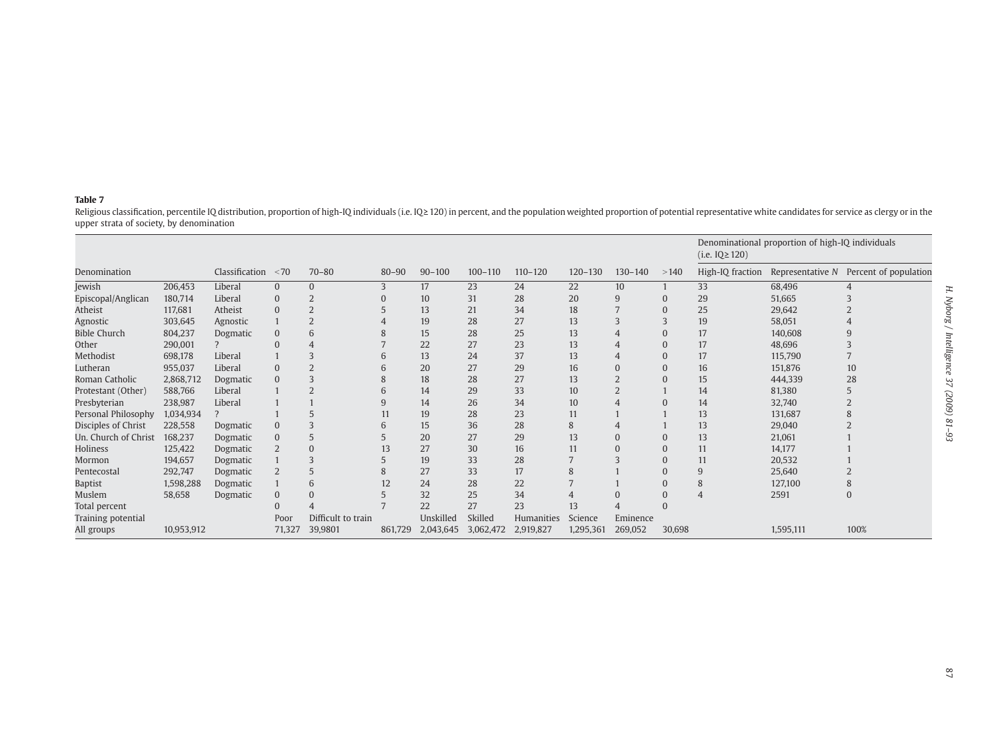# <span id="page-6-0"></span>Table 7

Religious classification, percentile IQ distribution, proportion of high-IQ individuals (i.e. IQ≥120) in percent, and the population weighted proportion of potential representative white candidates for service as clergy or upper strata of society, by denomination

|                      |            |                    |                |                    |               |            |             |             |             |                |          | (i.e. $IQ \ge 120$ ) | Denominational proportion of high-IQ individuals |                                        |
|----------------------|------------|--------------------|----------------|--------------------|---------------|------------|-------------|-------------|-------------|----------------|----------|----------------------|--------------------------------------------------|----------------------------------------|
| Denomination         |            | Classification <70 |                | $70 - 80$          | $80 - 90$     | $90 - 100$ | $100 - 110$ | $110 - 120$ | $120 - 130$ | $130 - 140$    | >140     | High-IQ fraction     |                                                  | Representative N Percent of population |
| Jewish               | 206,453    | Liberal            | $\Omega$       | $\Omega$           | $\mathcal{L}$ | 17         | 23          | 24          | 22          | 10             |          | 33                   | 68,496                                           |                                        |
| Episcopal/Anglican   | 180,714    | Liberal            | $\mathbf{0}$   | $\overline{2}$     |               | 10         | 31          | 28          | 20          | 9              |          | 29                   | 51,665                                           |                                        |
| Atheist              | 117,681    | Atheist            | $\mathbf{0}$   | $\overline{2}$     |               | 13         | 21          | 34          | 18          |                |          | 25                   | 29,642                                           |                                        |
| Agnostic             | 303,645    | Agnostic           |                | $\overline{2}$     |               | 19         | 28          | 27          | 13          | 3              |          | 19                   | 58,051                                           |                                        |
| <b>Bible Church</b>  | 804,237    | Dogmatic           | $\mathbf{0}$   | 6                  |               | 15         | 28          | 25          | 13          |                |          | 17                   | 140,608                                          |                                        |
| Other                | 290,001    |                    |                | $\overline{4}$     |               | 22         | 27          | 23          | 13          |                |          | 17                   | 48,696                                           |                                        |
| Methodist            | 698,178    | Liberal            |                | 3                  | 6             | 13         | 24          | 37          | 13          |                |          | 17                   | 115,790                                          |                                        |
| Lutheran             | 955,037    | Liberal            | $\Omega$       | $\overline{2}$     | $\mathfrak b$ | 20         | 27          | 29          | 16          |                |          | 16                   | 151,876                                          | 10                                     |
| Roman Catholic       | 2,868,712  | Dogmatic           | $\mathbf{0}$   | 3                  |               | 18         | 28          | 27          | 13          | $\overline{2}$ |          | 15                   | 444,339                                          | 28                                     |
| Protestant (Other)   | 588,766    | Liberal            |                | $\overline{2}$     | 6             | 14         | 29          | 33          | 10          |                |          | 14                   | 81,380                                           | 5                                      |
| Presbyterian         | 238,987    | Liberal            |                |                    | 9             | 14         | 26          | 34          | 10          |                |          | 14                   | 32,740                                           |                                        |
| Personal Philosophy  | 1,034,934  |                    |                | 5                  |               | 19         | 28          | 23          | 11          |                |          | 13                   | 131,687                                          |                                        |
| Disciples of Christ  | 228,558    | Dogmatic           | $\mathbf{0}$   | 3                  | $\mathsf{h}$  | 15         | 36          | 28          | 8           |                |          | 13                   | 29,040                                           |                                        |
| Un. Church of Christ | 168,237    | Dogmatic           | $\mathbf{0}$   | 5                  |               | 20         | 27          | 29          | 13          |                |          | 13                   | 21,061                                           |                                        |
| Holiness             | 125,422    | Dogmatic           | $\overline{2}$ | $\overline{0}$     | 13            | 27         | 30          | 16          | 11          |                | $\Omega$ | 11                   | 14,177                                           |                                        |
| Mormon               | 194,657    | Dogmatic           |                | 3                  |               | 19         | 33          | 28          |             | 3              |          | 11                   | 20,532                                           |                                        |
| Pentecostal          | 292,747    | Dogmatic           |                | 5                  |               | 27         | 33          | 17          |             |                |          | 9                    | 25,640                                           |                                        |
| <b>Baptist</b>       | 1,598,288  | Dogmatic           |                | 6                  | 12            | 24         | 28          | 22          |             |                |          | 8                    | 127,100                                          | 8                                      |
| Muslem               | 58,658     | Dogmatic           | $\mathbf{0}$   | $\Omega$           |               | 32         | 25          | 34          |             | $\Omega$       | $\Omega$ | $\overline{4}$       | 2591                                             | $\Omega$                               |
| Total percent        |            |                    |                |                    |               | 22         | 27          | 23          | 13          |                |          |                      |                                                  |                                        |
| Training potential   |            |                    | Pool           | Difficult to train |               | Unskilled  | Skilled     | Humanities  | Science     | Eminence       |          |                      |                                                  |                                        |
| All groups           | 10,953,912 |                    | 71,327         | 39,9801            | 861,729       | 2,043,645  | 3,062,472   | 2,919,827   | 1,295,361   | 269,052        | 30,698   |                      | 1,595,111                                        | 100%                                   |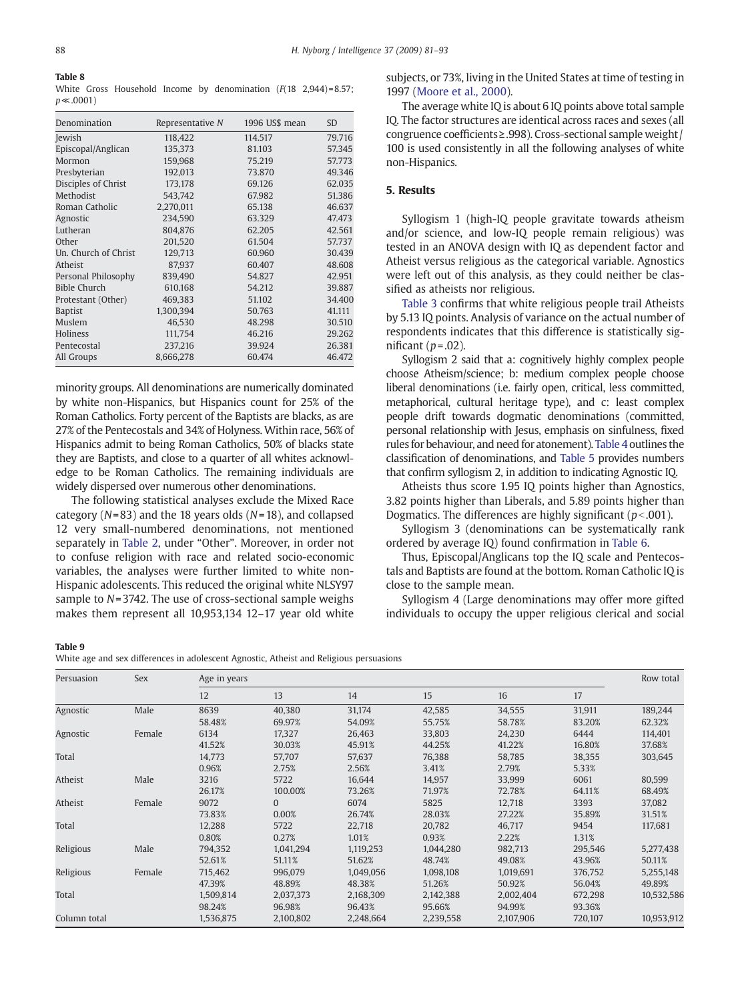# <span id="page-7-0"></span>Table 8

White Gross Household Income by denomination  $(F(18 2, 944) = 8.57)$ ; p≪.0001)

| Denomination         | Representative N | 1996 US\$ mean | <b>SD</b> |
|----------------------|------------------|----------------|-----------|
| Jewish               | 118,422          | 114.517        | 79.716    |
| Episcopal/Anglican   | 135,373          | 81.103         | 57.345    |
| Mormon               | 159.968          | 75.219         | 57.773    |
| Presbyterian         | 192,013          | 73.870         | 49.346    |
| Disciples of Christ  | 173,178          | 69.126         | 62.035    |
| Methodist            | 543,742          | 67.982         | 51.386    |
| Roman Catholic       | 2.270.011        | 65.138         | 46.637    |
| Agnostic             | 234.590          | 63.329         | 47.473    |
| Lutheran             | 804,876          | 62.205         | 42.561    |
| Other                | 201,520          | 61.504         | 57.737    |
| Un. Church of Christ | 129.713          | 60.960         | 30.439    |
| Atheist              | 87,937           | 60.407         | 48.608    |
| Personal Philosophy  | 839.490          | 54.827         | 42.951    |
| <b>Bible Church</b>  | 610,168          | 54.212         | 39.887    |
| Protestant (Other)   | 469,383          | 51.102         | 34.400    |
| <b>Baptist</b>       | 1.300.394        | 50.763         | 41.111    |
| Muslem               | 46,530           | 48.298         | 30.510    |
| Holiness             | 111,754          | 46.216         | 29.262    |
| Pentecostal          | 237,216          | 39.924         | 26.381    |
| All Groups           | 8,666,278        | 60.474         | 46.472    |

minority groups. All denominations are numerically dominated by white non-Hispanics, but Hispanics count for 25% of the Roman Catholics. Forty percent of the Baptists are blacks, as are 27% of the Pentecostals and 34% of Holyness. Within race, 56% of Hispanics admit to being Roman Catholics, 50% of blacks state they are Baptists, and close to a quarter of all whites acknowledge to be Roman Catholics. The remaining individuals are widely dispersed over numerous other denominations.

The following statistical analyses exclude the Mixed Race category ( $N=83$ ) and the 18 years olds ( $N=18$ ), and collapsed 12 very small-numbered denominations, not mentioned separately in [Table 2](#page-4-0), under "Other". Moreover, in order not to confuse religion with race and related socio-economic variables, the analyses were further limited to white non-Hispanic adolescents. This reduced the original white NLSY97 sample to  $N = 3742$ . The use of cross-sectional sample weighs makes them represent all 10,953,134 12–17 year old white

subjects, or 73%, living in the United States at time of testing in 1997 [\(Moore et al., 2000\)](#page-11-0).

The average white IQ is about 6 IQ points above total sample IQ. The factor structures are identical across races and sexes (all congruence coefficients≥.998). Cross-sectional sample weight / 100 is used consistently in all the following analyses of white non-Hispanics.

# 5. Results

Syllogism 1 (high-IQ people gravitate towards atheism and/or science, and low-IQ people remain religious) was tested in an ANOVA design with IQ as dependent factor and Atheist versus religious as the categorical variable. Agnostics were left out of this analysis, as they could neither be classified as atheists nor religious.

[Table 3](#page-5-0) confirms that white religious people trail Atheists by 5.13 IQ points. Analysis of variance on the actual number of respondents indicates that this difference is statistically significant  $(p=.02)$ .

Syllogism 2 said that a: cognitively highly complex people choose Atheism/science; b: medium complex people choose liberal denominations (i.e. fairly open, critical, less committed, metaphorical, cultural heritage type), and c: least complex people drift towards dogmatic denominations (committed, personal relationship with Jesus, emphasis on sinfulness, fixed rules for behaviour, and need for atonement). [Table 4](#page-5-0) outlines the classification of denominations, and [Table 5](#page-5-0) provides numbers that confirm syllogism 2, in addition to indicating Agnostic IQ.

Atheists thus score 1.95 IQ points higher than Agnostics, 3.82 points higher than Liberals, and 5.89 points higher than Dogmatics. The differences are highly significant ( $p<0.001$ ).

Syllogism 3 (denominations can be systematically rank ordered by average IQ) found confirmation in [Table 6.](#page-5-0)

Thus, Episcopal/Anglicans top the IQ scale and Pentecostals and Baptists are found at the bottom. Roman Catholic IQ is close to the sample mean.

Syllogism 4 (Large denominations may offer more gifted individuals to occupy the upper religious clerical and social

#### Table 9

White age and sex differences in adolescent Agnostic, Atheist and Religious persuasions

| Persuasion   | Sex    | Age in years |                |           |           |           |         |            |  |  |
|--------------|--------|--------------|----------------|-----------|-----------|-----------|---------|------------|--|--|
|              |        | 12           | 13             | 14        | 15        | 16        | 17      |            |  |  |
| Agnostic     | Male   | 8639         | 40,380         | 31,174    | 42,585    | 34,555    | 31,911  | 189,244    |  |  |
|              |        | 58.48%       | 69.97%         | 54.09%    | 55.75%    | 58.78%    | 83.20%  | 62.32%     |  |  |
| Agnostic     | Female | 6134         | 17,327         | 26,463    | 33,803    | 24,230    | 6444    | 114,401    |  |  |
|              |        | 41.52%       | 30.03%         | 45.91%    | 44.25%    | 41.22%    | 16.80%  | 37.68%     |  |  |
| Total        |        | 14,773       | 57,707         | 57,637    | 76,388    | 58,785    | 38,355  | 303,645    |  |  |
|              |        | 0.96%        | 2.75%          | 2.56%     | 3.41%     | 2.79%     | 5.33%   |            |  |  |
| Atheist      | Male   | 3216         | 5722           | 16,644    | 14.957    | 33.999    | 6061    | 80,599     |  |  |
|              |        | 26.17%       | 100.00%        | 73.26%    | 71.97%    | 72.78%    | 64.11%  | 68.49%     |  |  |
| Atheist      | Female | 9072         | $\overline{0}$ | 6074      | 5825      | 12,718    | 3393    | 37,082     |  |  |
|              |        | 73.83%       | 0.00%          | 26.74%    | 28.03%    | 27.22%    | 35.89%  | 31.51%     |  |  |
| Total        |        | 12,288       | 5722           | 22,718    | 20,782    | 46,717    | 9454    | 117,681    |  |  |
|              |        | 0.80%        | 0.27%          | 1.01%     | 0.93%     | 2.22%     | 1.31%   |            |  |  |
| Religious    | Male   | 794,352      | 1,041,294      | 1,119,253 | 1,044,280 | 982,713   | 295,546 | 5,277,438  |  |  |
|              |        | 52.61%       | 51.11%         | 51.62%    | 48.74%    | 49.08%    | 43.96%  | 50.11%     |  |  |
| Religious    | Female | 715,462      | 996,079        | 1,049,056 | 1,098,108 | 1,019,691 | 376,752 | 5,255,148  |  |  |
|              |        | 47.39%       | 48.89%         | 48.38%    | 51.26%    | 50.92%    | 56.04%  | 49.89%     |  |  |
| Total        |        | 1,509,814    | 2,037,373      | 2,168,309 | 2,142,388 | 2,002,404 | 672,298 | 10,532,586 |  |  |
|              |        | 98.24%       | 96.98%         | 96.43%    | 95.66%    | 94.99%    | 93.36%  |            |  |  |
| Column total |        | 1,536,875    | 2,100,802      | 2,248,664 | 2,239,558 | 2,107,906 | 720,107 | 10,953,912 |  |  |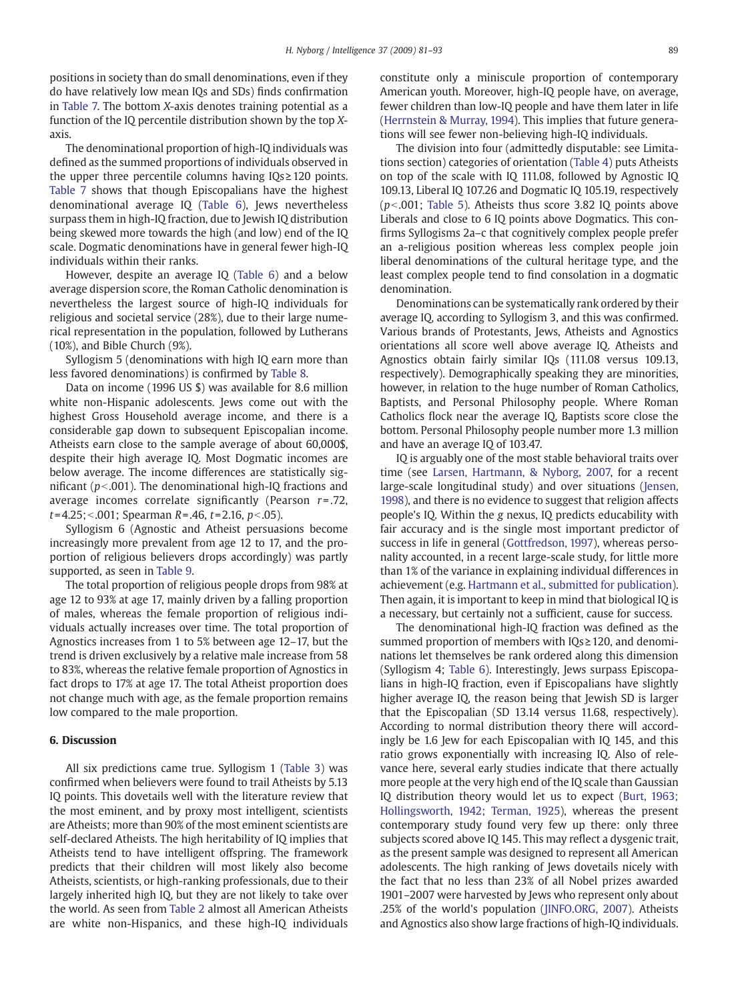positions in society than do small denominations, even if they do have relatively low mean IQs and SDs) finds confirmation in [Table 7.](#page-6-0) The bottom X-axis denotes training potential as a function of the IQ percentile distribution shown by the top Xaxis.

The denominational proportion of high-IQ individuals was defined as the summed proportions of individuals observed in the upper three percentile columns having IQs≥120 points. [Table 7](#page-6-0) shows that though Episcopalians have the highest denominational average IQ [\(Table 6](#page-5-0)), Jews nevertheless surpass them in high-IQ fraction, due to Jewish IQ distribution being skewed more towards the high (and low) end of the IQ scale. Dogmatic denominations have in general fewer high-IQ individuals within their ranks.

However, despite an average IQ [\(Table 6\)](#page-5-0) and a below average dispersion score, the Roman Catholic denomination is nevertheless the largest source of high-IQ individuals for religious and societal service (28%), due to their large numerical representation in the population, followed by Lutherans (10%), and Bible Church (9%).

Syllogism 5 (denominations with high IQ earn more than less favored denominations) is confirmed by [Table 8](#page-7-0).

Data on income (1996 US \$) was available for 8.6 million white non-Hispanic adolescents. Jews come out with the highest Gross Household average income, and there is a considerable gap down to subsequent Episcopalian income. Atheists earn close to the sample average of about 60,000\$, despite their high average IQ. Most Dogmatic incomes are below average. The income differences are statistically significant ( $p<0.01$ ). The denominational high-IQ fractions and average incomes correlate significantly (Pearson  $r = .72$ ,  $t = 4.25$ ; < .001; Spearman R= .46,  $t = 2.16$ ,  $p < .05$ ).

Syllogism 6 (Agnostic and Atheist persuasions become increasingly more prevalent from age 12 to 17, and the proportion of religious believers drops accordingly) was partly supported, as seen in [Table 9](#page-7-0).

The total proportion of religious people drops from 98% at age 12 to 93% at age 17, mainly driven by a falling proportion of males, whereas the female proportion of religious individuals actually increases over time. The total proportion of Agnostics increases from 1 to 5% between age 12–17, but the trend is driven exclusively by a relative male increase from 58 to 83%, whereas the relative female proportion of Agnostics in fact drops to 17% at age 17. The total Atheist proportion does not change much with age, as the female proportion remains low compared to the male proportion.

# 6. Discussion

All six predictions came true. Syllogism 1 ([Table 3\)](#page-5-0) was confirmed when believers were found to trail Atheists by 5.13 IQ points. This dovetails well with the literature review that the most eminent, and by proxy most intelligent, scientists are Atheists; more than 90% of the most eminent scientists are self-declared Atheists. The high heritability of IQ implies that Atheists tend to have intelligent offspring. The framework predicts that their children will most likely also become Atheists, scientists, or high-ranking professionals, due to their largely inherited high IQ, but they are not likely to take over the world. As seen from [Table 2](#page-4-0) almost all American Atheists are white non-Hispanics, and these high-IQ individuals constitute only a miniscule proportion of contemporary American youth. Moreover, high-IQ people have, on average, fewer children than low-IQ people and have them later in life ([Herrnstein & Murray, 1994](#page-11-0)). This implies that future generations will see fewer non-believing high-IQ individuals.

The division into four (admittedly disputable: see Limitations section) categories of orientation ([Table 4](#page-5-0)) puts Atheists on top of the scale with IQ 111.08, followed by Agnostic IQ 109.13, Liberal IQ 107.26 and Dogmatic IQ 105.19, respectively  $(p<.001$ ; [Table 5\)](#page-5-0). Atheists thus score 3.82 IQ points above Liberals and close to 6 IQ points above Dogmatics. This confirms Syllogisms 2a–c that cognitively complex people prefer an a-religious position whereas less complex people join liberal denominations of the cultural heritage type, and the least complex people tend to find consolation in a dogmatic denomination.

Denominations can be systematically rank ordered by their average IQ, according to Syllogism 3, and this was confirmed. Various brands of Protestants, Jews, Atheists and Agnostics orientations all score well above average IQ. Atheists and Agnostics obtain fairly similar IQs (111.08 versus 109.13, respectively). Demographically speaking they are minorities, however, in relation to the huge number of Roman Catholics, Baptists, and Personal Philosophy people. Where Roman Catholics flock near the average IQ, Baptists score close the bottom. Personal Philosophy people number more 1.3 million and have an average IQ of 103.47.

IQ is arguably one of the most stable behavioral traits over time (see [Larsen, Hartmann, & Nyborg, 2007,](#page-11-0) for a recent large-scale longitudinal study) and over situations ([Jensen,](#page-11-0) [1998\)](#page-11-0), and there is no evidence to suggest that religion affects people's IQ. Within the g nexus, IQ predicts educability with fair accuracy and is the single most important predictor of success in life in general ([Gottfredson, 1997\)](#page-11-0), whereas personality accounted, in a recent large-scale study, for little more than 1% of the variance in explaining individual differences in achievement (e.g. [Hartmann et al., submitted for publication](#page-11-0)). Then again, it is important to keep in mind that biological IQ is a necessary, but certainly not a sufficient, cause for success.

The denominational high-IQ fraction was defined as the summed proportion of members with IQs≥120, and denominations let themselves be rank ordered along this dimension (Syllogism 4; [Table 6\)](#page-5-0). Interestingly, Jews surpass Episcopalians in high-IQ fraction, even if Episcopalians have slightly higher average IQ, the reason being that Jewish SD is larger that the Episcopalian (SD 13.14 versus 11.68, respectively). According to normal distribution theory there will accordingly be 1.6 Jew for each Episcopalian with IQ 145, and this ratio grows exponentially with increasing IQ. Also of relevance here, several early studies indicate that there actually more people at the very high end of the IQ scale than Gaussian IQ distribution theory would let us to expect [\(Burt, 1963;](#page-11-0) [Hollingsworth, 1942; Terman, 1925](#page-11-0)), whereas the present contemporary study found very few up there: only three subjects scored above IQ 145. This may reflect a dysgenic trait, as the present sample was designed to represent all American adolescents. The high ranking of Jews dovetails nicely with the fact that no less than 23% of all Nobel prizes awarded 1901–2007 were harvested by Jews who represent only about .25% of the world's population ([JINFO.ORG, 2007\)](#page-11-0). Atheists and Agnostics also show large fractions of high-IQ individuals.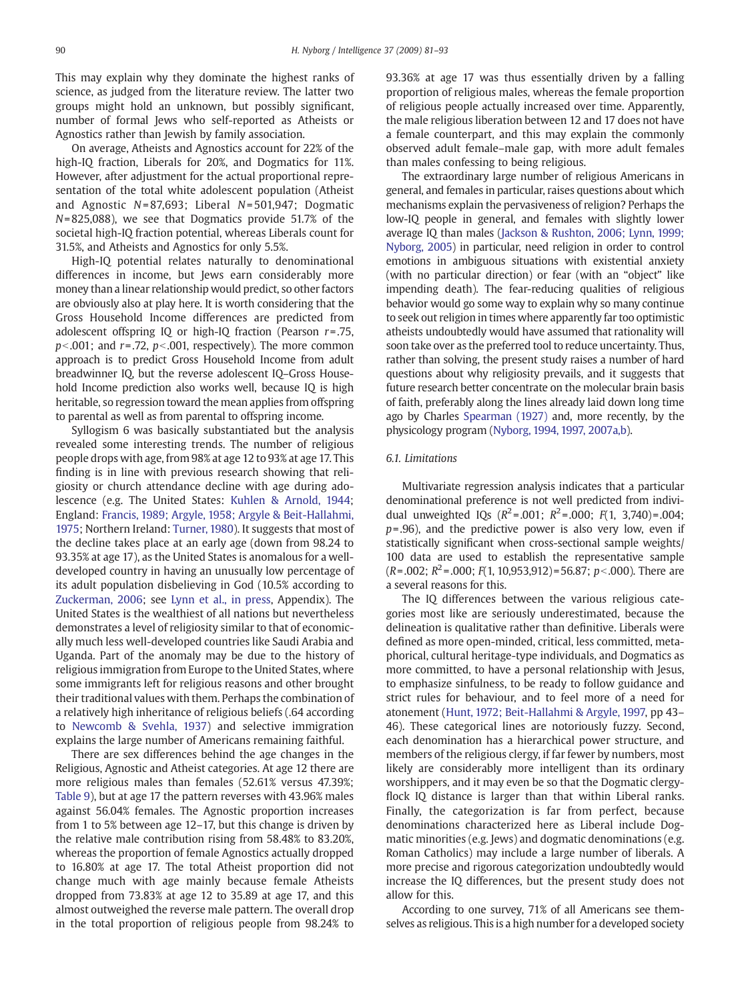This may explain why they dominate the highest ranks of science, as judged from the literature review. The latter two groups might hold an unknown, but possibly significant, number of formal Jews who self-reported as Atheists or Agnostics rather than Jewish by family association.

On average, Atheists and Agnostics account for 22% of the high-IQ fraction, Liberals for 20%, and Dogmatics for 11%. However, after adjustment for the actual proportional representation of the total white adolescent population (Atheist and Agnostic N= 87,693; Liberal N= 501,947; Dogmatic N= 825,088), we see that Dogmatics provide 51.7% of the societal high-IQ fraction potential, whereas Liberals count for 31.5%, and Atheists and Agnostics for only 5.5%.

High-IQ potential relates naturally to denominational differences in income, but Jews earn considerably more money than a linear relationship would predict, so other factors are obviously also at play here. It is worth considering that the Gross Household Income differences are predicted from adolescent offspring IQ or high-IQ fraction (Pearson  $r = .75$ ,  $p<.001$ ; and  $r=.72$ ,  $p<.001$ , respectively). The more common approach is to predict Gross Household Income from adult breadwinner IQ, but the reverse adolescent IQ–Gross Household Income prediction also works well, because IQ is high heritable, so regression toward the mean applies from offspring to parental as well as from parental to offspring income.

Syllogism 6 was basically substantiated but the analysis revealed some interesting trends. The number of religious people drops with age, from 98% at age 12 to 93% at age 17. This finding is in line with previous research showing that religiosity or church attendance decline with age during adolescence (e.g. The United States: [Kuhlen & Arnold, 1944;](#page-11-0) England: [Francis, 1989; Argyle, 1958; Argyle & Beit-Hallahmi,](#page-11-0) [1975;](#page-11-0) Northern Ireland: [Turner, 1980](#page-12-0)). It suggests that most of the decline takes place at an early age (down from 98.24 to 93.35% at age 17), as the United States is anomalous for a welldeveloped country in having an unusually low percentage of its adult population disbelieving in God (10.5% according to [Zuckerman, 2006;](#page-12-0) see [Lynn et al., in press,](#page-11-0) Appendix). The United States is the wealthiest of all nations but nevertheless demonstrates a level of religiosity similar to that of economically much less well-developed countries like Saudi Arabia and Uganda. Part of the anomaly may be due to the history of religious immigration from Europe to the United States, where some immigrants left for religious reasons and other brought their traditional values with them. Perhaps the combination of a relatively high inheritance of religious beliefs (.64 according to [Newcomb & Svehla, 1937](#page-11-0)) and selective immigration explains the large number of Americans remaining faithful.

There are sex differences behind the age changes in the Religious, Agnostic and Atheist categories. At age 12 there are more religious males than females (52.61% versus 47.39%; [Table 9\)](#page-7-0), but at age 17 the pattern reverses with 43.96% males against 56.04% females. The Agnostic proportion increases from 1 to 5% between age 12–17, but this change is driven by the relative male contribution rising from 58.48% to 83.20%, whereas the proportion of female Agnostics actually dropped to 16.80% at age 17. The total Atheist proportion did not change much with age mainly because female Atheists dropped from 73.83% at age 12 to 35.89 at age 17, and this almost outweighed the reverse male pattern. The overall drop in the total proportion of religious people from 98.24% to 93.36% at age 17 was thus essentially driven by a falling proportion of religious males, whereas the female proportion of religious people actually increased over time. Apparently, the male religious liberation between 12 and 17 does not have a female counterpart, and this may explain the commonly observed adult female–male gap, with more adult females than males confessing to being religious.

The extraordinary large number of religious Americans in general, and females in particular, raises questions about which mechanisms explain the pervasiveness of religion? Perhaps the low-IQ people in general, and females with slightly lower average IQ than males ([Jackson & Rushton, 2006; Lynn, 1999;](#page-11-0) [Nyborg, 2005](#page-11-0)) in particular, need religion in order to control emotions in ambiguous situations with existential anxiety (with no particular direction) or fear (with an "object" like impending death). The fear-reducing qualities of religious behavior would go some way to explain why so many continue to seek out religion in times where apparently far too optimistic atheists undoubtedly would have assumed that rationality will soon take over as the preferred tool to reduce uncertainty. Thus, rather than solving, the present study raises a number of hard questions about why religiosity prevails, and it suggests that future research better concentrate on the molecular brain basis of faith, preferably along the lines already laid down long time ago by Charles [Spearman \(1927\)](#page-11-0) and, more recently, by the physicology program ([Nyborg, 1994, 1997, 2007a,b](#page-11-0)).

# 6.1. Limitations

Multivariate regression analysis indicates that a particular denominational preference is not well predicted from individual unweighted IQs  $(R^2 = .001; R^2 = .000; F(1, 3,740) = .004;$  $p = .96$ ), and the predictive power is also very low, even if statistically significant when cross-sectional sample weights/ 100 data are used to establish the representative sample  $(R=.002; R^2=.000; F(1, 10.953.912) = 56.87; p<.000$ ). There are a several reasons for this.

The IQ differences between the various religious categories most like are seriously underestimated, because the delineation is qualitative rather than definitive. Liberals were defined as more open-minded, critical, less committed, metaphorical, cultural heritage-type individuals, and Dogmatics as more committed, to have a personal relationship with Jesus, to emphasize sinfulness, to be ready to follow guidance and strict rules for behaviour, and to feel more of a need for atonement ([Hunt, 1972; Beit-Hallahmi & Argyle, 1997,](#page-11-0) pp 43– 46). These categorical lines are notoriously fuzzy. Second, each denomination has a hierarchical power structure, and members of the religious clergy, if far fewer by numbers, most likely are considerably more intelligent than its ordinary worshippers, and it may even be so that the Dogmatic clergyflock IQ distance is larger than that within Liberal ranks. Finally, the categorization is far from perfect, because denominations characterized here as Liberal include Dogmatic minorities (e.g. Jews) and dogmatic denominations (e.g. Roman Catholics) may include a large number of liberals. A more precise and rigorous categorization undoubtedly would increase the IQ differences, but the present study does not allow for this.

According to one survey, 71% of all Americans see themselves as religious. This is a high number for a developed society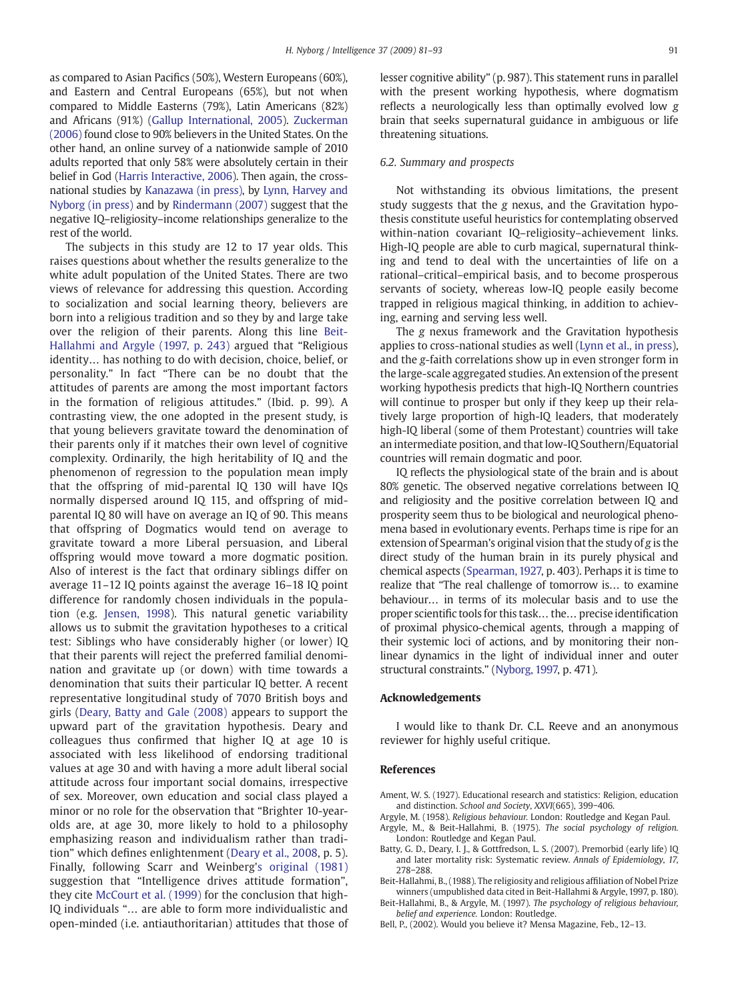<span id="page-10-0"></span>as compared to Asian Pacifics (50%), Western Europeans (60%), and Eastern and Central Europeans (65%), but not when compared to Middle Easterns (79%), Latin Americans (82%) and Africans (91%) ([Gallup International, 2005](#page-11-0)). [Zuckerman](#page-12-0) [\(2006\)](#page-12-0) found close to 90% believers in the United States. On the other hand, an online survey of a nationwide sample of 2010 adults reported that only 58% were absolutely certain in their belief in God [\(Harris Interactive, 2006](#page-11-0)). Then again, the crossnational studies by [Kanazawa \(in press\),](#page-11-0) by [Lynn, Harvey and](#page-11-0) [Nyborg \(in press\)](#page-11-0) and by [Rindermann \(2007\)](#page-11-0) suggest that the negative IQ–religiosity–income relationships generalize to the rest of the world.

The subjects in this study are 12 to 17 year olds. This raises questions about whether the results generalize to the white adult population of the United States. There are two views of relevance for addressing this question. According to socialization and social learning theory, believers are born into a religious tradition and so they by and large take over the religion of their parents. Along this line Beit-Hallahmi and Argyle (1997, p. 243) argued that "Religious identity… has nothing to do with decision, choice, belief, or personality." In fact "There can be no doubt that the attitudes of parents are among the most important factors in the formation of religious attitudes." (Ibid. p. 99). A contrasting view, the one adopted in the present study, is that young believers gravitate toward the denomination of their parents only if it matches their own level of cognitive complexity. Ordinarily, the high heritability of IQ and the phenomenon of regression to the population mean imply that the offspring of mid-parental IQ 130 will have IQs normally dispersed around IQ 115, and offspring of midparental IQ 80 will have on average an IQ of 90. This means that offspring of Dogmatics would tend on average to gravitate toward a more Liberal persuasion, and Liberal offspring would move toward a more dogmatic position. Also of interest is the fact that ordinary siblings differ on average 11–12 IQ points against the average 16–18 IQ point difference for randomly chosen individuals in the population (e.g. [Jensen, 1998](#page-11-0)). This natural genetic variability allows us to submit the gravitation hypotheses to a critical test: Siblings who have considerably higher (or lower) IQ that their parents will reject the preferred familial denomination and gravitate up (or down) with time towards a denomination that suits their particular IQ better. A recent representative longitudinal study of 7070 British boys and girls ([Deary, Batty and Gale \(2008\)](#page-11-0) appears to support the upward part of the gravitation hypothesis. Deary and colleagues thus confirmed that higher IQ at age 10 is associated with less likelihood of endorsing traditional values at age 30 and with having a more adult liberal social attitude across four important social domains, irrespective of sex. Moreover, own education and social class played a minor or no role for the observation that "Brighter 10-yearolds are, at age 30, more likely to hold to a philosophy emphasizing reason and individualism rather than tradition" which defines enlightenment ([Deary et al., 2008,](#page-11-0) p. 5). Finally, following Scarr and Weinberg'[s original \(1981\)](#page-11-0) suggestion that "Intelligence drives attitude formation", they cite [McCourt et al. \(1999\)](#page-11-0) for the conclusion that high-IQ individuals "… are able to form more individualistic and open-minded (i.e. antiauthoritarian) attitudes that those of lesser cognitive ability" (p. 987). This statement runs in parallel with the present working hypothesis, where dogmatism reflects a neurologically less than optimally evolved low g brain that seeks supernatural guidance in ambiguous or life threatening situations.

# 6.2. Summary and prospects

Not withstanding its obvious limitations, the present study suggests that the g nexus, and the Gravitation hypothesis constitute useful heuristics for contemplating observed within-nation covariant IQ–religiosity–achievement links. High-IQ people are able to curb magical, supernatural thinking and tend to deal with the uncertainties of life on a rational–critical–empirical basis, and to become prosperous servants of society, whereas low-IQ people easily become trapped in religious magical thinking, in addition to achieving, earning and serving less well.

The g nexus framework and the Gravitation hypothesis applies to cross-national studies as well ([Lynn et al., in press](#page-11-0)), and the g-faith correlations show up in even stronger form in the large-scale aggregated studies. An extension of the present working hypothesis predicts that high-IQ Northern countries will continue to prosper but only if they keep up their relatively large proportion of high-IQ leaders, that moderately high-IQ liberal (some of them Protestant) countries will take an intermediate position, and that low-IQ Southern/Equatorial countries will remain dogmatic and poor.

IQ reflects the physiological state of the brain and is about 80% genetic. The observed negative correlations between IQ and religiosity and the positive correlation between IQ and prosperity seem thus to be biological and neurological phenomena based in evolutionary events. Perhaps time is ripe for an extension of Spearman's original vision that the study of g is the direct study of the human brain in its purely physical and chemical aspects [\(Spearman, 1927,](#page-11-0) p. 403). Perhaps it is time to realize that "The real challenge of tomorrow is… to examine behaviour… in terms of its molecular basis and to use the proper scientific tools for this task… the… precise identification of proximal physico-chemical agents, through a mapping of their systemic loci of actions, and by monitoring their nonlinear dynamics in the light of individual inner and outer structural constraints." [\(Nyborg, 1997,](#page-11-0) p. 471).

# Acknowledgements

I would like to thank Dr. C.L. Reeve and an anonymous reviewer for highly useful critique.

# References

- Ament, W. S. (1927). Educational research and statistics: Religion, education and distinction. School and Society, XXVI(665), 399−406.
- Argyle, M. (1958). Religious behaviour. London: Routledge and Kegan Paul. Argyle, M., & Beit-Hallahmi, B. (1975). The social psychology of religion.
- London: Routledge and Kegan Paul. Batty, G. D., Deary, I. J., & Gottfredson, L. S. (2007). Premorbid (early life) IQ
- and later mortality risk: Systematic review. Annals of Epidemiology, 17, 278−288.
- Beit-Hallahmi, B., (1988). The religiosity and religious affiliation of Nobel Prize winners (umpublished data cited in Beit-Hallahmi & Argyle, 1997, p. 180).
- Beit-Hallahmi, B., & Argyle, M. (1997). The psychology of religious behaviour, belief and experience. London: Routledge.

Bell, P., (2002). Would you believe it? Mensa Magazine, Feb., 12-13.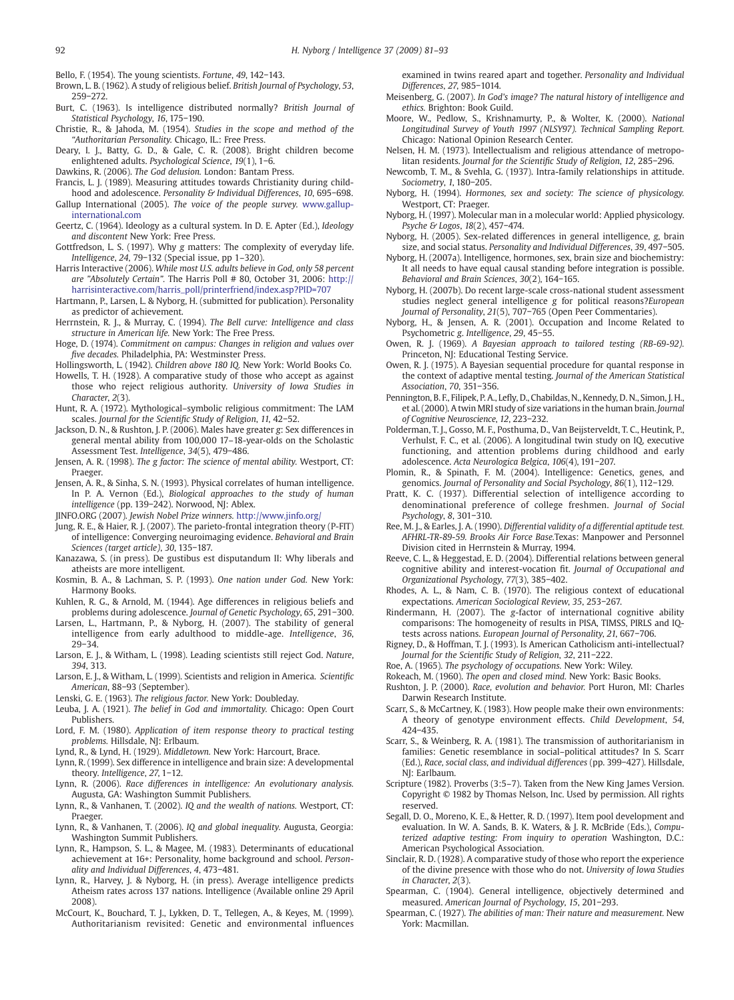- <span id="page-11-0"></span>Bello, F. (1954). The young scientists. Fortune, 49, 142−143.
- Brown, L. B. (1962). A study of religious belief. British Journal of Psychology, 53, 259−272.
- Burt, C. (1963). Is intelligence distributed normally? British Journal of Statistical Psychology, 16, 175−190.
- Christie, R., & Jahoda, M. (1954). Studies in the scope and method of the "Authoritarian Personality. Chicago, IL.: Free Press.
- Deary, I. J., Batty, G. D., & Gale, C. R. (2008). Bright children become enlightened adults. Psychological Science, 19(1), 1−6.
- Dawkins, R. (2006). The God delusion. London: Bantam Press.
- Francis, L. J. (1989). Measuring attitudes towards Christianity during childhood and adolescence. Personality & Individual Differences, 10, 695−698.
- Gallup International (2005). The voice of the people survey. [www.gallup](http://www.gallup-international.com)[international.com](http://www.gallup-international.com)
- Geertz, C. (1964). Ideology as a cultural system. In D. E. Apter (Ed.), Ideology and discontent New York: Free Press.
- Gottfredson, L. S. (1997). Why g matters: The complexity of everyday life. Intelligence, 24, 79−132 (Special issue, pp 1–320).
- Harris Interactive (2006). While most U.S. adults believe in God, only 58 percent are "Absolutely Certain". The Harris Poll # 80, October 31, 2006: [http://](http://harrisinteractive.com/harris_poll/printerfriend/index.asp?PID=707) [harrisinteractive.com/harris\\_poll/printerfriend/index.asp?PID=707](http://harrisinteractive.com/harris_poll/printerfriend/index.asp?PID=707)
- Hartmann, P., Larsen, L. & Nyborg, H. (submitted for publication). Personality as predictor of achievement.
- Herrnstein, R. J., & Murray, C. (1994). The Bell curve: Intelligence and class structure in American life. New York: The Free Press.
- Hoge, D. (1974). Commitment on campus: Changes in religion and values over five decades. Philadelphia, PA: Westminster Press.
- Hollingsworth, L. (1942). Children above 180 IQ. New York: World Books Co.
- Howells, T. H. (1928). A comparative study of those who accept as against those who reject religious authority. University of Iowa Studies in Character, 2(3).
- Hunt, R. A. (1972). Mythological–symbolic religious commitment: The LAM scales. Journal for the Scientific Study of Religion, 11, 42−52.
- Jackson, D. N., & Rushton, J. P. (2006). Males have greater g: Sex differences in general mental ability from 100,000 17–18-year-olds on the Scholastic Assessment Test. Intelligence, 34(5), 479−486.
- Jensen, A. R. (1998). The g factor: The science of mental ability. Westport, CT: Praeger.
- Jensen, A. R., & Sinha, S. N. (1993). Physical correlates of human intelligence. In P. A. Vernon (Ed.), Biological approaches to the study of human intelligence (pp. 139−242). Norwood, NJ: Ablex.
- JINFO.ORG (2007). Jewish Nobel Prize winners. [http://www.jinfo.org/](http://www.jinfo.org/Nobel_Prizes.html)
- Jung, R. E., & Haier, R. J. (2007). The parieto-frontal integration theory (P-FIT) of intelligence: Converging neuroimaging evidence. Behavioral and Brain Sciences (target article), 30, 135−187.
- Kanazawa, S. (in press). De gustibus est disputandum II: Why liberals and atheists are more intelligent.
- Kosmin, B. A., & Lachman, S. P. (1993). One nation under God. New York: Harmony Books.
- Kuhlen, R. G., & Arnold, M. (1944). Age differences in religious beliefs and problems during adolescence. Journal of Genetic Psychology, 65, 291−300.
- Larsen, L., Hartmann, P., & Nyborg, H. (2007). The stability of general intelligence from early adulthood to middle-age. Intelligence, 36, 29−34.
- Larson, E. J., & Witham, L. (1998). Leading scientists still reject God. Nature, 394, 313.
- Larson, E. J., & Witham, L. (1999). Scientists and religion in America. Scientific American, 88−93 (September).
- Lenski, G. E. (1963). The religious factor. New York: Doubleday.
- Leuba, J. A. (1921). The belief in God and immortality. Chicago: Open Court Publishers.
- Lord, F. M. (1980). Application of item response theory to practical testing problems. Hillsdale, NJ: Erlbaum.
- Lynd, R., & Lynd, H. (1929). Middletown. New York: Harcourt, Brace.
- Lynn, R. (1999). Sex difference in intelligence and brain size: A developmental theory. Intelligence, 27, 1−12.
- Lynn, R. (2006). Race differences in intelligence: An evolutionary analysis. Augusta, GA: Washington Summit Publishers.
- Lynn, R., & Vanhanen, T. (2002). IQ and the wealth of nations. Westport, CT: Praeger.
- Lynn, R., & Vanhanen, T. (2006). IQ and global inequality. Augusta, Georgia: Washington Summit Publishers.
- Lynn, R., Hampson, S. L., & Magee, M. (1983). Determinants of educational achievement at 16+: Personality, home background and school. Personality and Individual Differences, 4, 473−481.
- Lynn, R., Harvey, J. & Nyborg, H. (in press). Average intelligence predicts Atheism rates across 137 nations. Intelligence (Available online 29 April 2008).
- McCourt, K., Bouchard, T. J., Lykken, D. T., Tellegen, A., & Keyes, M. (1999). Authoritarianism revisited: Genetic and environmental influences

examined in twins reared apart and together. Personality and Individual Differences, 27, 985−1014.

- Meisenberg, G. (2007). In God's image? The natural history of intelligence and ethics. Brighton: Book Guild.
- Moore, W., Pedlow, S., Krishnamurty, P., & Wolter, K. (2000). National Longitudinal Survey of Youth 1997 (NLSY97). Technical Sampling Report. Chicago: National Opinion Research Center.
- Nelsen, H. M. (1973). Intellectualism and religious attendance of metropolitan residents. Journal for the Scientific Study of Religion, 12, 285−296.
- Newcomb, T. M., & Svehla, G. (1937). Intra-family relationships in attitude. Sociometry, 1, 180−205.
- Nyborg, H. (1994). Hormones, sex and society: The science of physicology. Westport, CT: Praeger.
- Nyborg, H. (1997). Molecular man in a molecular world: Applied physicology. Psyche & Logos, 18(2), 457−474.
- Nyborg, H. (2005). Sex-related differences in general intelligence, g, brain size, and social status. Personality and Individual Differences, 39, 497−505.
- Nyborg, H. (2007a). Intelligence, hormones, sex, brain size and biochemistry: It all needs to have equal causal standing before integration is possible. Behavioral and Brain Sciences, 30(2), 164−165.
- Nyborg, H. (2007b). Do recent large-scale cross-national student assessment studies neglect general intelligence g for political reasons?European Journal of Personality, 21(5), 707−765 (Open Peer Commentaries).
- Nyborg, H., & Jensen, A. R. (2001). Occupation and Income Related to Psychometric g. Intelligence, 29, 45−55.
- Owen, R. J. (1969). A Bayesian approach to tailored testing (RB-69-92). Princeton, NJ: Educational Testing Service.
- Owen, R. J. (1975). A Bayesian sequential procedure for quantal response in the context of adaptive mental testing. Journal of the American Statistical Association, 70, 351−356.
- Pennington, B. F., Filipek, P. A., Lefly, D., Chabildas, N., Kennedy, D. N., Simon, J. H., et al. (2000). A twin MRI study of size variations in the human brain. Journal of Cognitive Neuroscience, 12, 223−232.
- Polderman, T. J., Gosso, M. F., Posthuma, D., Van Beijsterveldt, T. C., Heutink, P., Verhulst, F. C., et al. (2006). A longitudinal twin study on IQ, executive functioning, and attention problems during childhood and early adolescence. Acta Neurologica Belgica, 106(4), 191−207.
- Plomin, R., & Spinath, F. M. (2004). Intelligence: Genetics, genes, and genomics. Journal of Personality and Social Psychology, 86(1), 112−129.
- Pratt, K. C. (1937). Differential selection of intelligence according to denominational preference of college freshmen. Journal of Social Psychology, 8, 301−310.
- Ree, M. J., & Earles, J. A. (1990). Differential validity of a differential aptitude test. AFHRL-TR-89-59. Brooks Air Force Base.Texas: Manpower and Personnel Division cited in Herrnstein & Murray, 1994.
- Reeve, C. L., & Heggestad, E. D. (2004). Differential relations between general cognitive ability and interest-vocation fit. Journal of Occupational and Organizational Psychology, 77(3), 385−402.
- Rhodes, A. L., & Nam, C. B. (1970). The religious context of educational expectations. American Sociological Review, 35, 253−267.
- Rindermann, H. (2007). The g-factor of international cognitive ability comparisons: The homogeneity of results in PISA, TIMSS, PIRLS and IQtests across nations. European Journal of Personality, 21, 667−706.
- Rigney, D., & Hoffman, T. J. (1993). Is American Catholicism anti-intellectual? Journal for the Scientific Study of Religion, 32, 211−222.
- Roe, A. (1965). The psychology of occupations. New York: Wiley.
- Rokeach, M. (1960). The open and closed mind. New York: Basic Books.
- Rushton, J. P. (2000). Race, evolution and behavior. Port Huron, MI: Charles Darwin Research Institute.
- Scarr, S., & McCartney, K. (1983). How people make their own environments: A theory of genotype environment effects. Child Development, 54, 424−435.
- Scarr, S., & Weinberg, R. A. (1981). The transmission of authoritarianism in families: Genetic resemblance in social–political attitudes? In S. Scarr (Ed.), Race, social class, and individual differences (pp. 399−427). Hillsdale, NJ: Earlbaum.
- Scripture (1982). Proverbs (3:5–7). Taken from the New King James Version. Copyright © 1982 by Thomas Nelson, Inc. Used by permission. All rights reserved.
- Segall, D. O., Moreno, K. E., & Hetter, R. D. (1997). Item pool development and evaluation. In W. A. Sands, B. K. Waters, & J. R. McBride (Eds.), Computerized adaptive testing: From inquiry to operation Washington, D.C.: American Psychological Association.
- Sinclair, R. D. (1928). A comparative study of those who report the experience of the divine presence with those who do not. University of Iowa Studies in Character, 2(3).
- Spearman, C. (1904). General intelligence, objectively determined and measured. American Journal of Psychology, 15, 201−293.
- Spearman, C. (1927). The abilities of man: Their nature and measurement. New York: Macmillan.